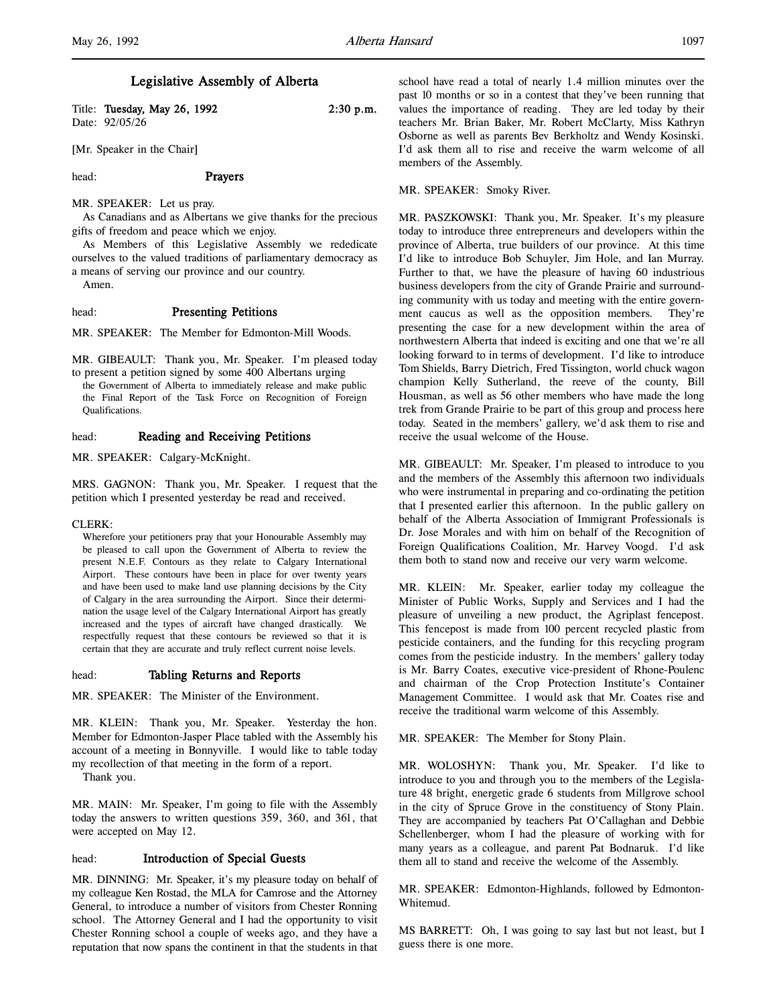# Legislative Assembly of Alberta

| Title: Tuesday, May 26, 1992 | $2:30$ p.m. |
|------------------------------|-------------|
| Date: 92/05/26               |             |
|                              |             |

[Mr. Speaker in the Chair]

head: **Prayers** 

# MR. SPEAKER: Let us pray.

As Canadians and as Albertans we give thanks for the precious gifts of freedom and peace which we enjoy.

As Members of this Legislative Assembly we rededicate ourselves to the valued traditions of parliamentary democracy as a means of serving our province and our country.

Amen.

## head: Presenting Petitions

MR. SPEAKER: The Member for Edmonton-Mill Woods.

MR. GIBEAULT: Thank you, Mr. Speaker. I'm pleased today to present a petition signed by some 400 Albertans urging the Government of Alberta to immediately release and make public the Final Report of the Task Force on Recognition of Foreign Qualifications.

# head: Reading and Receiving Petitions

MR. SPEAKER: Calgary-McKnight.

MRS. GAGNON: Thank you, Mr. Speaker. I request that the petition which I presented yesterday be read and received.

CLERK:

Wherefore your petitioners pray that your Honourable Assembly may be pleased to call upon the Government of Alberta to review the present N.E.F. Contours as they relate to Calgary International Airport. These contours have been in place for over twenty years and have been used to make land use planning decisions by the City of Calgary in the area surrounding the Airport. Since their determination the usage level of the Calgary International Airport has greatly increased and the types of aircraft have changed drastically. We respectfully request that these contours be reviewed so that it is certain that they are accurate and truly reflect current noise levels.

## head: Tabling Returns and Reports

MR. SPEAKER: The Minister of the Environment.

MR. KLEIN: Thank you, Mr. Speaker. Yesterday the hon. Member for Edmonton-Jasper Place tabled with the Assembly his account of a meeting in Bonnyville. I would like to table today my recollection of that meeting in the form of a report.

Thank you.

MR. MAIN: Mr. Speaker, I'm going to file with the Assembly today the answers to written questions 359, 360, and 361, that were accepted on May 12.

# head: **Introduction of Special Guests**

MR. DINNING: Mr. Speaker, it's my pleasure today on behalf of my colleague Ken Rostad, the MLA for Camrose and the Attorney General, to introduce a number of visitors from Chester Ronning school. The Attorney General and I had the opportunity to visit Chester Ronning school a couple of weeks ago, and they have a reputation that now spans the continent in that the students in that

school have read a total of nearly 1.4 million minutes over the past 10 months or so in a contest that they've been running that values the importance of reading. They are led today by their teachers Mr. Brian Baker, Mr. Robert McClarty, Miss Kathryn Osborne as well as parents Bev Berkholtz and Wendy Kosinski. I'd ask them all to rise and receive the warm welcome of all members of the Assembly.

MR. SPEAKER: Smoky River.

MR. PASZKOWSKI: Thank you, Mr. Speaker. It's my pleasure today to introduce three entrepreneurs and developers within the province of Alberta, true builders of our province. At this time I'd like to introduce Bob Schuyler, Jim Hole, and Ian Murray. Further to that, we have the pleasure of having 60 industrious business developers from the city of Grande Prairie and surrounding community with us today and meeting with the entire government caucus as well as the opposition members. They're presenting the case for a new development within the area of northwestern Alberta that indeed is exciting and one that we're all looking forward to in terms of development. I'd like to introduce Tom Shields, Barry Dietrich, Fred Tissington, world chuck wagon champion Kelly Sutherland, the reeve of the county, Bill Housman, as well as 56 other members who have made the long trek from Grande Prairie to be part of this group and process here today. Seated in the members' gallery, we'd ask them to rise and receive the usual welcome of the House.

MR. GIBEAULT: Mr. Speaker, I'm pleased to introduce to you and the members of the Assembly this afternoon two individuals who were instrumental in preparing and co-ordinating the petition that I presented earlier this afternoon. In the public gallery on behalf of the Alberta Association of Immigrant Professionals is Dr. Jose Morales and with him on behalf of the Recognition of Foreign Qualifications Coalition, Mr. Harvey Voogd. I'd ask them both to stand now and receive our very warm welcome.

MR. KLEIN: Mr. Speaker, earlier today my colleague the Minister of Public Works, Supply and Services and I had the pleasure of unveiling a new product, the Agriplast fencepost. This fencepost is made from 100 percent recycled plastic from pesticide containers, and the funding for this recycling program comes from the pesticide industry. In the members' gallery today is Mr. Barry Coates, executive vice-president of Rhone-Poulenc and chairman of the Crop Protection Institute's Container Management Committee. I would ask that Mr. Coates rise and receive the traditional warm welcome of this Assembly.

MR. SPEAKER: The Member for Stony Plain.

MR. WOLOSHYN: Thank you, Mr. Speaker. I'd like to introduce to you and through you to the members of the Legislature 48 bright, energetic grade 6 students from Millgrove school in the city of Spruce Grove in the constituency of Stony Plain. They are accompanied by teachers Pat O'Callaghan and Debbie Schellenberger, whom I had the pleasure of working with for many years as a colleague, and parent Pat Bodnaruk. I'd like them all to stand and receive the welcome of the Assembly.

MR. SPEAKER: Edmonton-Highlands, followed by Edmonton-Whitemud.

MS BARRETT: Oh, I was going to say last but not least, but I guess there is one more.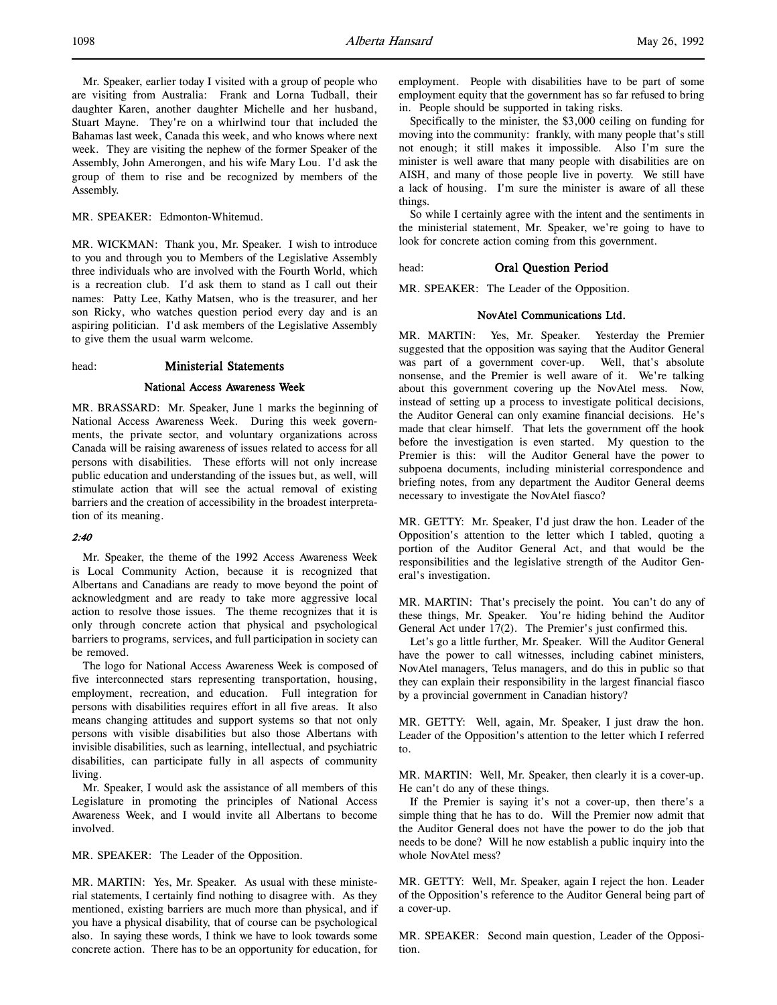Mr. Speaker, earlier today I visited with a group of people who are visiting from Australia: Frank and Lorna Tudball, their daughter Karen, another daughter Michelle and her husband, Stuart Mayne. They're on a whirlwind tour that included the Bahamas last week, Canada this week, and who knows where next week. They are visiting the nephew of the former Speaker of the Assembly, John Amerongen, and his wife Mary Lou. I'd ask the group of them to rise and be recognized by members of the Assembly.

## MR. SPEAKER: Edmonton-Whitemud.

MR. WICKMAN: Thank you, Mr. Speaker. I wish to introduce to you and through you to Members of the Legislative Assembly three individuals who are involved with the Fourth World, which is a recreation club. I'd ask them to stand as I call out their names: Patty Lee, Kathy Matsen, who is the treasurer, and her son Ricky, who watches question period every day and is an aspiring politician. I'd ask members of the Legislative Assembly to give them the usual warm welcome.

## head: Ministerial Statements

## National Access Awareness Week

MR. BRASSARD: Mr. Speaker, June 1 marks the beginning of National Access Awareness Week. During this week governments, the private sector, and voluntary organizations across Canada will be raising awareness of issues related to access for all persons with disabilities. These efforts will not only increase public education and understanding of the issues but, as well, will stimulate action that will see the actual removal of existing barriers and the creation of accessibility in the broadest interpretation of its meaning.

# 2:40

Mr. Speaker, the theme of the 1992 Access Awareness Week is Local Community Action, because it is recognized that Albertans and Canadians are ready to move beyond the point of acknowledgment and are ready to take more aggressive local action to resolve those issues. The theme recognizes that it is only through concrete action that physical and psychological barriers to programs, services, and full participation in society can be removed.

The logo for National Access Awareness Week is composed of five interconnected stars representing transportation, housing, employment, recreation, and education. Full integration for persons with disabilities requires effort in all five areas. It also means changing attitudes and support systems so that not only persons with visible disabilities but also those Albertans with invisible disabilities, such as learning, intellectual, and psychiatric disabilities, can participate fully in all aspects of community living.

Mr. Speaker, I would ask the assistance of all members of this Legislature in promoting the principles of National Access Awareness Week, and I would invite all Albertans to become involved.

MR. SPEAKER: The Leader of the Opposition.

MR. MARTIN: Yes, Mr. Speaker. As usual with these ministerial statements, I certainly find nothing to disagree with. As they mentioned, existing barriers are much more than physical, and if you have a physical disability, that of course can be psychological also. In saying these words, I think we have to look towards some concrete action. There has to be an opportunity for education, for

employment. People with disabilities have to be part of some employment equity that the government has so far refused to bring in. People should be supported in taking risks.

Specifically to the minister, the \$3,000 ceiling on funding for moving into the community: frankly, with many people that's still not enough; it still makes it impossible. Also I'm sure the minister is well aware that many people with disabilities are on AISH, and many of those people live in poverty. We still have a lack of housing. I'm sure the minister is aware of all these things.

So while I certainly agree with the intent and the sentiments in the ministerial statement, Mr. Speaker, we're going to have to look for concrete action coming from this government.

# head: Oral Question Period

MR. SPEAKER: The Leader of the Opposition.

# NovAtel Communications Ltd.

MR. MARTIN: Yes, Mr. Speaker. Yesterday the Premier suggested that the opposition was saying that the Auditor General was part of a government cover-up. Well, that's absolute nonsense, and the Premier is well aware of it. We're talking about this government covering up the NovAtel mess. Now, instead of setting up a process to investigate political decisions, the Auditor General can only examine financial decisions. He's made that clear himself. That lets the government off the hook before the investigation is even started. My question to the Premier is this: will the Auditor General have the power to subpoena documents, including ministerial correspondence and briefing notes, from any department the Auditor General deems necessary to investigate the NovAtel fiasco?

MR. GETTY: Mr. Speaker, I'd just draw the hon. Leader of the Opposition's attention to the letter which I tabled, quoting a portion of the Auditor General Act, and that would be the responsibilities and the legislative strength of the Auditor General's investigation.

MR. MARTIN: That's precisely the point. You can't do any of these things, Mr. Speaker. You're hiding behind the Auditor General Act under 17(2). The Premier's just confirmed this.

Let's go a little further, Mr. Speaker. Will the Auditor General have the power to call witnesses, including cabinet ministers, NovAtel managers, Telus managers, and do this in public so that they can explain their responsibility in the largest financial fiasco by a provincial government in Canadian history?

MR. GETTY: Well, again, Mr. Speaker, I just draw the hon. Leader of the Opposition's attention to the letter which I referred to.

MR. MARTIN: Well, Mr. Speaker, then clearly it is a cover-up. He can't do any of these things.

If the Premier is saying it's not a cover-up, then there's a simple thing that he has to do. Will the Premier now admit that the Auditor General does not have the power to do the job that needs to be done? Will he now establish a public inquiry into the whole NovAtel mess?

MR. GETTY: Well, Mr. Speaker, again I reject the hon. Leader of the Opposition's reference to the Auditor General being part of a cover-up.

MR. SPEAKER: Second main question, Leader of the Opposition.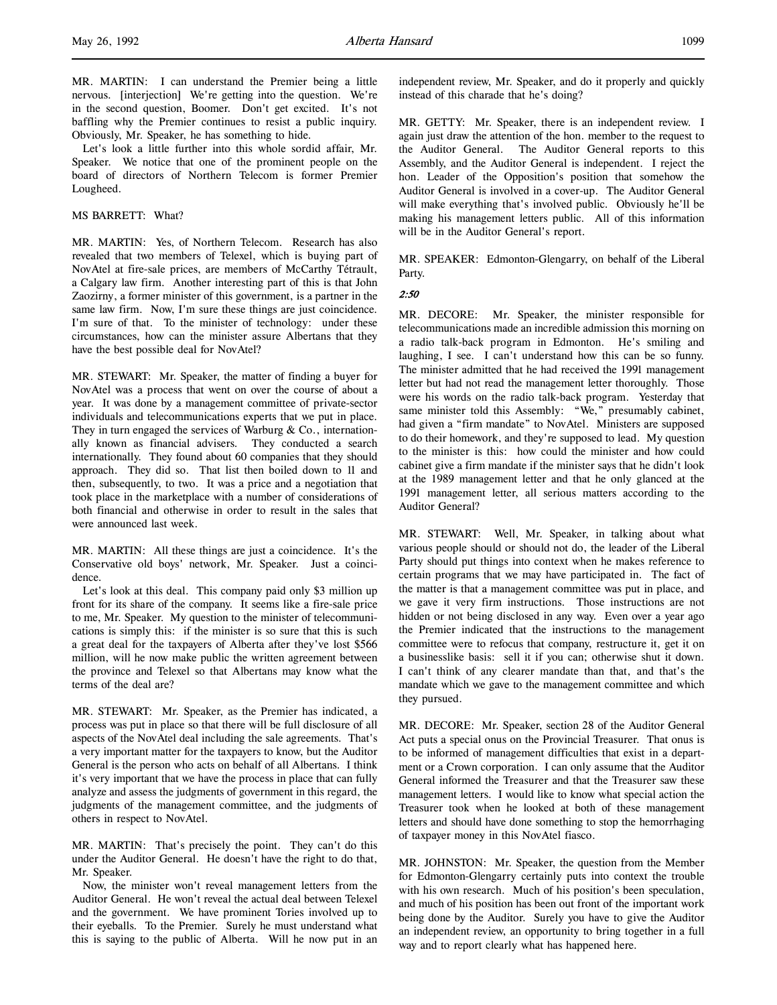MR. MARTIN: I can understand the Premier being a little nervous. [interjection] We're getting into the question. We're in the second question, Boomer. Don't get excited. It's not baffling why the Premier continues to resist a public inquiry. Obviously, Mr. Speaker, he has something to hide.

Let's look a little further into this whole sordid affair, Mr. Speaker. We notice that one of the prominent people on the board of directors of Northern Telecom is former Premier Lougheed.

# MS BARRETT: What?

MR. MARTIN: Yes, of Northern Telecom. Research has also revealed that two members of Telexel, which is buying part of NovAtel at fire-sale prices, are members of McCarthy Tétrault, a Calgary law firm. Another interesting part of this is that John Zaozirny, a former minister of this government, is a partner in the same law firm. Now, I'm sure these things are just coincidence. I'm sure of that. To the minister of technology: under these circumstances, how can the minister assure Albertans that they have the best possible deal for NovAtel?

MR. STEWART: Mr. Speaker, the matter of finding a buyer for NovAtel was a process that went on over the course of about a year. It was done by a management committee of private-sector individuals and telecommunications experts that we put in place. They in turn engaged the services of Warburg & Co., internationally known as financial advisers. They conducted a search internationally. They found about 60 companies that they should approach. They did so. That list then boiled down to 11 and then, subsequently, to two. It was a price and a negotiation that took place in the marketplace with a number of considerations of both financial and otherwise in order to result in the sales that were announced last week.

MR. MARTIN: All these things are just a coincidence. It's the Conservative old boys' network, Mr. Speaker. Just a coincidence.

Let's look at this deal. This company paid only \$3 million up front for its share of the company. It seems like a fire-sale price to me, Mr. Speaker. My question to the minister of telecommunications is simply this: if the minister is so sure that this is such a great deal for the taxpayers of Alberta after they've lost \$566 million, will he now make public the written agreement between the province and Telexel so that Albertans may know what the terms of the deal are?

MR. STEWART: Mr. Speaker, as the Premier has indicated, a process was put in place so that there will be full disclosure of all aspects of the NovAtel deal including the sale agreements. That's a very important matter for the taxpayers to know, but the Auditor General is the person who acts on behalf of all Albertans. I think it's very important that we have the process in place that can fully analyze and assess the judgments of government in this regard, the judgments of the management committee, and the judgments of others in respect to NovAtel.

MR. MARTIN: That's precisely the point. They can't do this under the Auditor General. He doesn't have the right to do that, Mr. Speaker.

Now, the minister won't reveal management letters from the Auditor General. He won't reveal the actual deal between Telexel and the government. We have prominent Tories involved up to their eyeballs. To the Premier. Surely he must understand what this is saying to the public of Alberta. Will he now put in an

independent review, Mr. Speaker, and do it properly and quickly instead of this charade that he's doing?

MR. GETTY: Mr. Speaker, there is an independent review. I again just draw the attention of the hon. member to the request to the Auditor General. The Auditor General reports to this Assembly, and the Auditor General is independent. I reject the hon. Leader of the Opposition's position that somehow the Auditor General is involved in a cover-up. The Auditor General will make everything that's involved public. Obviously he'll be making his management letters public. All of this information will be in the Auditor General's report.

MR. SPEAKER: Edmonton-Glengarry, on behalf of the Liberal Party.

#### 2:50

MR. DECORE: Mr. Speaker, the minister responsible for telecommunications made an incredible admission this morning on a radio talk-back program in Edmonton. He's smiling and laughing, I see. I can't understand how this can be so funny. The minister admitted that he had received the 1991 management letter but had not read the management letter thoroughly. Those were his words on the radio talk-back program. Yesterday that same minister told this Assembly: "We," presumably cabinet, had given a "firm mandate" to NovAtel. Ministers are supposed to do their homework, and they're supposed to lead. My question to the minister is this: how could the minister and how could cabinet give a firm mandate if the minister says that he didn't look at the 1989 management letter and that he only glanced at the 1991 management letter, all serious matters according to the Auditor General?

MR. STEWART: Well, Mr. Speaker, in talking about what various people should or should not do, the leader of the Liberal Party should put things into context when he makes reference to certain programs that we may have participated in. The fact of the matter is that a management committee was put in place, and we gave it very firm instructions. Those instructions are not hidden or not being disclosed in any way. Even over a year ago the Premier indicated that the instructions to the management committee were to refocus that company, restructure it, get it on a businesslike basis: sell it if you can; otherwise shut it down. I can't think of any clearer mandate than that, and that's the mandate which we gave to the management committee and which they pursued.

MR. DECORE: Mr. Speaker, section 28 of the Auditor General Act puts a special onus on the Provincial Treasurer. That onus is to be informed of management difficulties that exist in a department or a Crown corporation. I can only assume that the Auditor General informed the Treasurer and that the Treasurer saw these management letters. I would like to know what special action the Treasurer took when he looked at both of these management letters and should have done something to stop the hemorrhaging of taxpayer money in this NovAtel fiasco.

MR. JOHNSTON: Mr. Speaker, the question from the Member for Edmonton-Glengarry certainly puts into context the trouble with his own research. Much of his position's been speculation, and much of his position has been out front of the important work being done by the Auditor. Surely you have to give the Auditor an independent review, an opportunity to bring together in a full way and to report clearly what has happened here.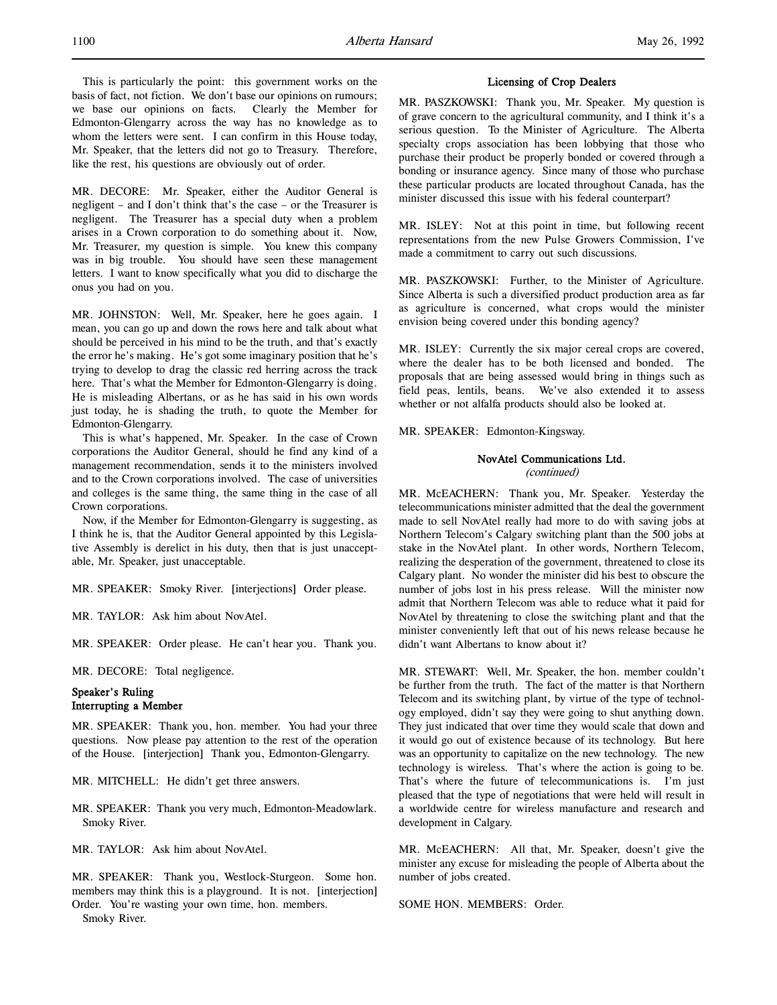MR. DECORE: Mr. Speaker, either the Auditor General is negligent – and I don't think that's the case – or the Treasurer is negligent. The Treasurer has a special duty when a problem arises in a Crown corporation to do something about it. Now, Mr. Treasurer, my question is simple. You knew this company was in big trouble. You should have seen these management letters. I want to know specifically what you did to discharge the onus you had on you.

MR. JOHNSTON: Well, Mr. Speaker, here he goes again. I mean, you can go up and down the rows here and talk about what should be perceived in his mind to be the truth, and that's exactly the error he's making. He's got some imaginary position that he's trying to develop to drag the classic red herring across the track here. That's what the Member for Edmonton-Glengarry is doing. He is misleading Albertans, or as he has said in his own words just today, he is shading the truth, to quote the Member for Edmonton-Glengarry.

This is what's happened, Mr. Speaker. In the case of Crown corporations the Auditor General, should he find any kind of a management recommendation, sends it to the ministers involved and to the Crown corporations involved. The case of universities and colleges is the same thing, the same thing in the case of all Crown corporations.

Now, if the Member for Edmonton-Glengarry is suggesting, as I think he is, that the Auditor General appointed by this Legislative Assembly is derelict in his duty, then that is just unacceptable, Mr. Speaker, just unacceptable.

MR. SPEAKER: Smoky River. [interjections] Order please.

MR. TAYLOR: Ask him about NovAtel.

MR. SPEAKER: Order please. He can't hear you. Thank you.

MR. DECORE: Total negligence.

# Speaker's Ruling Interrupting a Member

MR. SPEAKER: Thank you, hon. member. You had your three questions. Now please pay attention to the rest of the operation of the House. [interjection] Thank you, Edmonton-Glengarry.

MR. MITCHELL: He didn't get three answers.

MR. SPEAKER: Thank you very much, Edmonton-Meadowlark. Smoky River.

MR. TAYLOR: Ask him about NovAtel.

MR. SPEAKER: Thank you, Westlock-Sturgeon. Some hon. members may think this is a playground. It is not. [interjection] Order. You're wasting your own time, hon. members.

Smoky River.

# Licensing of Crop Dealers

MR. PASZKOWSKI: Thank you, Mr. Speaker. My question is of grave concern to the agricultural community, and I think it's a serious question. To the Minister of Agriculture. The Alberta specialty crops association has been lobbying that those who purchase their product be properly bonded or covered through a bonding or insurance agency. Since many of those who purchase these particular products are located throughout Canada, has the minister discussed this issue with his federal counterpart?

MR. ISLEY: Not at this point in time, but following recent representations from the new Pulse Growers Commission, I've made a commitment to carry out such discussions.

MR. PASZKOWSKI: Further, to the Minister of Agriculture. Since Alberta is such a diversified product production area as far as agriculture is concerned, what crops would the minister envision being covered under this bonding agency?

MR. ISLEY: Currently the six major cereal crops are covered, where the dealer has to be both licensed and bonded. The proposals that are being assessed would bring in things such as field peas, lentils, beans. We've also extended it to assess whether or not alfalfa products should also be looked at.

MR. SPEAKER: Edmonton-Kingsway.

# NovAtel Communications Ltd.

(continued)

MR. McEACHERN: Thank you, Mr. Speaker. Yesterday the telecommunications minister admitted that the deal the government made to sell NovAtel really had more to do with saving jobs at Northern Telecom's Calgary switching plant than the 500 jobs at stake in the NovAtel plant. In other words, Northern Telecom, realizing the desperation of the government, threatened to close its Calgary plant. No wonder the minister did his best to obscure the number of jobs lost in his press release. Will the minister now admit that Northern Telecom was able to reduce what it paid for NovAtel by threatening to close the switching plant and that the minister conveniently left that out of his news release because he didn't want Albertans to know about it?

MR. STEWART: Well, Mr. Speaker, the hon. member couldn't be further from the truth. The fact of the matter is that Northern Telecom and its switching plant, by virtue of the type of technology employed, didn't say they were going to shut anything down. They just indicated that over time they would scale that down and it would go out of existence because of its technology. But here was an opportunity to capitalize on the new technology. The new technology is wireless. That's where the action is going to be. That's where the future of telecommunications is. I'm just pleased that the type of negotiations that were held will result in a worldwide centre for wireless manufacture and research and development in Calgary.

MR. McEACHERN: All that, Mr. Speaker, doesn't give the minister any excuse for misleading the people of Alberta about the number of jobs created.

SOME HON. MEMBERS: Order.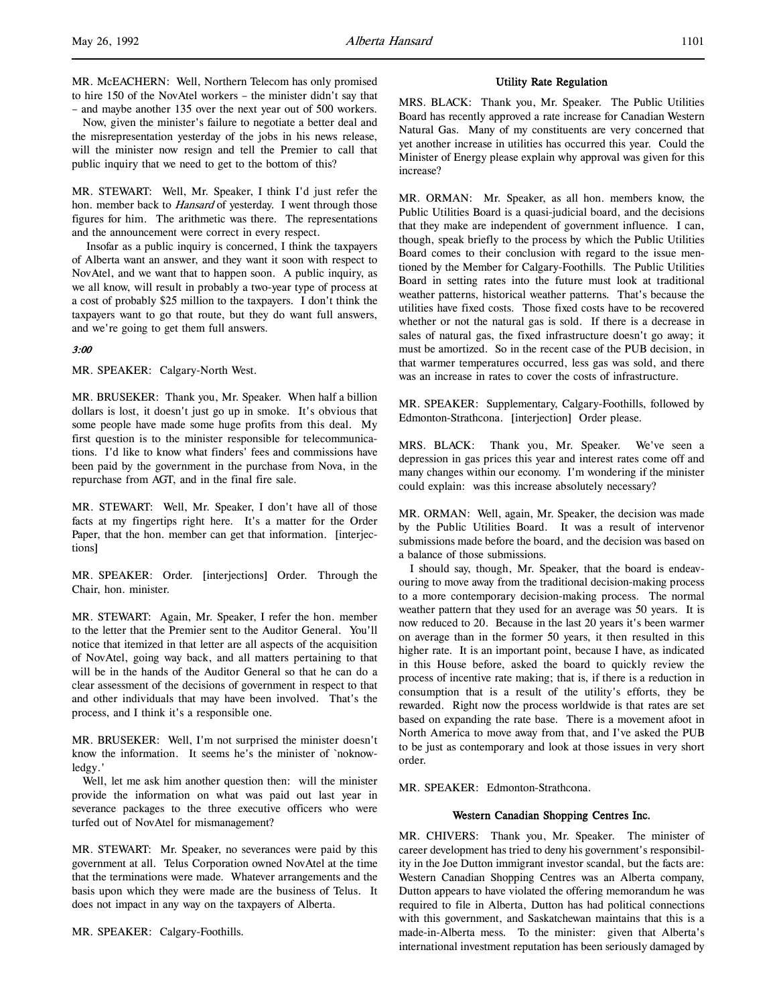to hire 150 of the NovAtel workers – the minister didn't say that – and maybe another 135 over the next year out of 500 workers. Now, given the minister's failure to negotiate a better deal and

the misrepresentation yesterday of the jobs in his news release, will the minister now resign and tell the Premier to call that public inquiry that we need to get to the bottom of this?

MR. STEWART: Well, Mr. Speaker, I think I'd just refer the hon. member back to *Hansard* of yesterday. I went through those figures for him. The arithmetic was there. The representations and the announcement were correct in every respect.

 Insofar as a public inquiry is concerned, I think the taxpayers of Alberta want an answer, and they want it soon with respect to NovAtel, and we want that to happen soon. A public inquiry, as we all know, will result in probably a two-year type of process at a cost of probably \$25 million to the taxpayers. I don't think the taxpayers want to go that route, but they do want full answers, and we're going to get them full answers.

# 3:00

MR. SPEAKER: Calgary-North West.

MR. BRUSEKER: Thank you, Mr. Speaker. When half a billion dollars is lost, it doesn't just go up in smoke. It's obvious that some people have made some huge profits from this deal. My first question is to the minister responsible for telecommunications. I'd like to know what finders' fees and commissions have been paid by the government in the purchase from Nova, in the repurchase from AGT, and in the final fire sale.

MR. STEWART: Well, Mr. Speaker, I don't have all of those facts at my fingertips right here. It's a matter for the Order Paper, that the hon. member can get that information. [interjections]

MR. SPEAKER: Order. [interjections] Order. Through the Chair, hon. minister.

MR. STEWART: Again, Mr. Speaker, I refer the hon. member to the letter that the Premier sent to the Auditor General. You'll notice that itemized in that letter are all aspects of the acquisition of NovAtel, going way back, and all matters pertaining to that will be in the hands of the Auditor General so that he can do a clear assessment of the decisions of government in respect to that and other individuals that may have been involved. That's the process, and I think it's a responsible one.

MR. BRUSEKER: Well, I'm not surprised the minister doesn't know the information. It seems he's the minister of `noknowledgy.'

Well, let me ask him another question then: will the minister provide the information on what was paid out last year in severance packages to the three executive officers who were turfed out of NovAtel for mismanagement?

MR. STEWART: Mr. Speaker, no severances were paid by this government at all. Telus Corporation owned NovAtel at the time that the terminations were made. Whatever arrangements and the basis upon which they were made are the business of Telus. It does not impact in any way on the taxpayers of Alberta.

MR. SPEAKER: Calgary-Foothills.

## Utility Rate Regulation

MRS. BLACK: Thank you, Mr. Speaker. The Public Utilities Board has recently approved a rate increase for Canadian Western Natural Gas. Many of my constituents are very concerned that yet another increase in utilities has occurred this year. Could the Minister of Energy please explain why approval was given for this increase?

MR. ORMAN: Mr. Speaker, as all hon. members know, the Public Utilities Board is a quasi-judicial board, and the decisions that they make are independent of government influence. I can, though, speak briefly to the process by which the Public Utilities Board comes to their conclusion with regard to the issue mentioned by the Member for Calgary-Foothills. The Public Utilities Board in setting rates into the future must look at traditional weather patterns, historical weather patterns. That's because the utilities have fixed costs. Those fixed costs have to be recovered whether or not the natural gas is sold. If there is a decrease in sales of natural gas, the fixed infrastructure doesn't go away; it must be amortized. So in the recent case of the PUB decision, in that warmer temperatures occurred, less gas was sold, and there was an increase in rates to cover the costs of infrastructure.

MR. SPEAKER: Supplementary, Calgary-Foothills, followed by Edmonton-Strathcona. [interjection] Order please.

MRS. BLACK: Thank you, Mr. Speaker. We've seen a depression in gas prices this year and interest rates come off and many changes within our economy. I'm wondering if the minister could explain: was this increase absolutely necessary?

MR. ORMAN: Well, again, Mr. Speaker, the decision was made by the Public Utilities Board. It was a result of intervenor submissions made before the board, and the decision was based on a balance of those submissions.

I should say, though, Mr. Speaker, that the board is endeavouring to move away from the traditional decision-making process to a more contemporary decision-making process. The normal weather pattern that they used for an average was 50 years. It is now reduced to 20. Because in the last 20 years it's been warmer on average than in the former 50 years, it then resulted in this higher rate. It is an important point, because I have, as indicated in this House before, asked the board to quickly review the process of incentive rate making; that is, if there is a reduction in consumption that is a result of the utility's efforts, they be rewarded. Right now the process worldwide is that rates are set based on expanding the rate base. There is a movement afoot in North America to move away from that, and I've asked the PUB to be just as contemporary and look at those issues in very short order.

MR. SPEAKER: Edmonton-Strathcona.

# Western Canadian Shopping Centres Inc.

MR. CHIVERS: Thank you, Mr. Speaker. The minister of career development has tried to deny his government's responsibility in the Joe Dutton immigrant investor scandal, but the facts are: Western Canadian Shopping Centres was an Alberta company, Dutton appears to have violated the offering memorandum he was required to file in Alberta, Dutton has had political connections with this government, and Saskatchewan maintains that this is a made-in-Alberta mess. To the minister: given that Alberta's international investment reputation has been seriously damaged by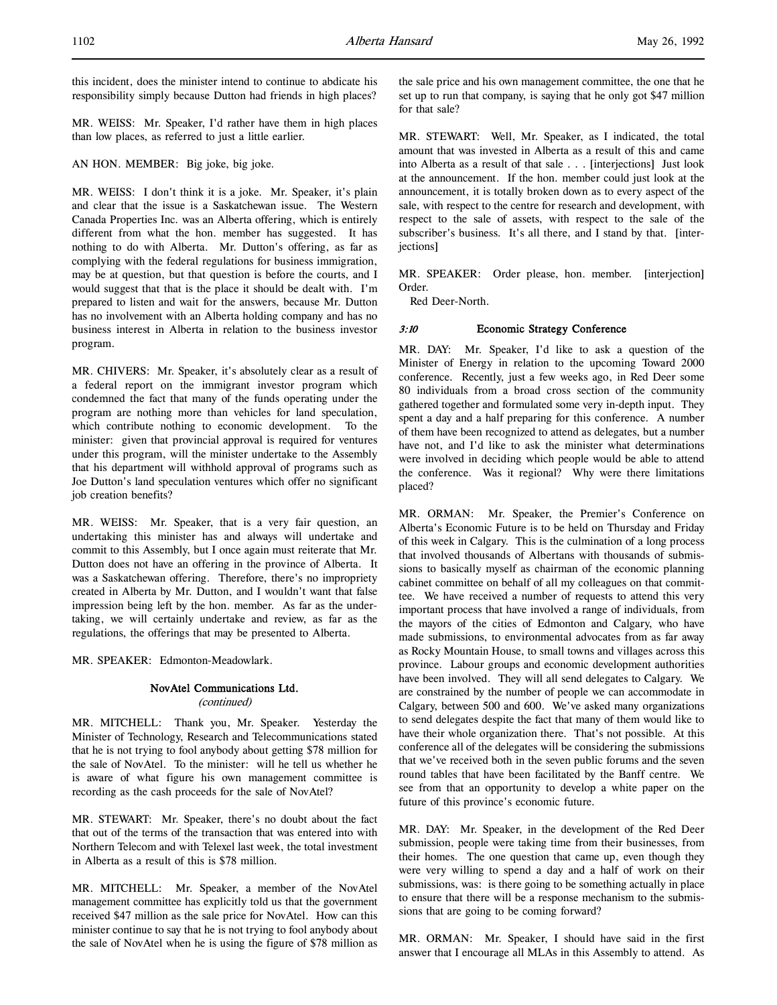this incident, does the minister intend to continue to abdicate his responsibility simply because Dutton had friends in high places?

MR. WEISS: Mr. Speaker, I'd rather have them in high places than low places, as referred to just a little earlier.

AN HON. MEMBER: Big joke, big joke.

MR. WEISS: I don't think it is a joke. Mr. Speaker, it's plain and clear that the issue is a Saskatchewan issue. The Western Canada Properties Inc. was an Alberta offering, which is entirely different from what the hon. member has suggested. It has nothing to do with Alberta. Mr. Dutton's offering, as far as complying with the federal regulations for business immigration, may be at question, but that question is before the courts, and I would suggest that that is the place it should be dealt with. I'm prepared to listen and wait for the answers, because Mr. Dutton has no involvement with an Alberta holding company and has no business interest in Alberta in relation to the business investor program.

MR. CHIVERS: Mr. Speaker, it's absolutely clear as a result of a federal report on the immigrant investor program which condemned the fact that many of the funds operating under the program are nothing more than vehicles for land speculation, which contribute nothing to economic development. To the minister: given that provincial approval is required for ventures under this program, will the minister undertake to the Assembly that his department will withhold approval of programs such as Joe Dutton's land speculation ventures which offer no significant job creation benefits?

MR. WEISS: Mr. Speaker, that is a very fair question, an undertaking this minister has and always will undertake and commit to this Assembly, but I once again must reiterate that Mr. Dutton does not have an offering in the province of Alberta. It was a Saskatchewan offering. Therefore, there's no impropriety created in Alberta by Mr. Dutton, and I wouldn't want that false impression being left by the hon. member. As far as the undertaking, we will certainly undertake and review, as far as the regulations, the offerings that may be presented to Alberta.

MR. SPEAKER: Edmonton-Meadowlark.

# NovAtel Communications Ltd.

(continued)

MR. MITCHELL: Thank you, Mr. Speaker. Yesterday the Minister of Technology, Research and Telecommunications stated that he is not trying to fool anybody about getting \$78 million for the sale of NovAtel. To the minister: will he tell us whether he is aware of what figure his own management committee is recording as the cash proceeds for the sale of NovAtel?

MR. STEWART: Mr. Speaker, there's no doubt about the fact that out of the terms of the transaction that was entered into with Northern Telecom and with Telexel last week, the total investment in Alberta as a result of this is \$78 million.

MR. MITCHELL: Mr. Speaker, a member of the NovAtel management committee has explicitly told us that the government received \$47 million as the sale price for NovAtel. How can this minister continue to say that he is not trying to fool anybody about the sale of NovAtel when he is using the figure of \$78 million as

the sale price and his own management committee, the one that he set up to run that company, is saying that he only got \$47 million for that sale?

MR. STEWART: Well, Mr. Speaker, as I indicated, the total amount that was invested in Alberta as a result of this and came into Alberta as a result of that sale . . . [interjections] Just look at the announcement. If the hon. member could just look at the announcement, it is totally broken down as to every aspect of the sale, with respect to the centre for research and development, with respect to the sale of assets, with respect to the sale of the subscriber's business. It's all there, and I stand by that. [interjections]

MR. SPEAKER: Order please, hon. member. [interjection] Order.

Red Deer-North.

# 3:10 Economic Strategy Conference

MR. DAY: Mr. Speaker, I'd like to ask a question of the Minister of Energy in relation to the upcoming Toward 2000 conference. Recently, just a few weeks ago, in Red Deer some 80 individuals from a broad cross section of the community gathered together and formulated some very in-depth input. They spent a day and a half preparing for this conference. A number of them have been recognized to attend as delegates, but a number have not, and I'd like to ask the minister what determinations were involved in deciding which people would be able to attend the conference. Was it regional? Why were there limitations placed?

MR. ORMAN: Mr. Speaker, the Premier's Conference on Alberta's Economic Future is to be held on Thursday and Friday of this week in Calgary. This is the culmination of a long process that involved thousands of Albertans with thousands of submissions to basically myself as chairman of the economic planning cabinet committee on behalf of all my colleagues on that committee. We have received a number of requests to attend this very important process that have involved a range of individuals, from the mayors of the cities of Edmonton and Calgary, who have made submissions, to environmental advocates from as far away as Rocky Mountain House, to small towns and villages across this province. Labour groups and economic development authorities have been involved. They will all send delegates to Calgary. We are constrained by the number of people we can accommodate in Calgary, between 500 and 600. We've asked many organizations to send delegates despite the fact that many of them would like to have their whole organization there. That's not possible. At this conference all of the delegates will be considering the submissions that we've received both in the seven public forums and the seven round tables that have been facilitated by the Banff centre. We see from that an opportunity to develop a white paper on the future of this province's economic future.

MR. DAY: Mr. Speaker, in the development of the Red Deer submission, people were taking time from their businesses, from their homes. The one question that came up, even though they were very willing to spend a day and a half of work on their submissions, was: is there going to be something actually in place to ensure that there will be a response mechanism to the submissions that are going to be coming forward?

MR. ORMAN: Mr. Speaker, I should have said in the first answer that I encourage all MLAs in this Assembly to attend. As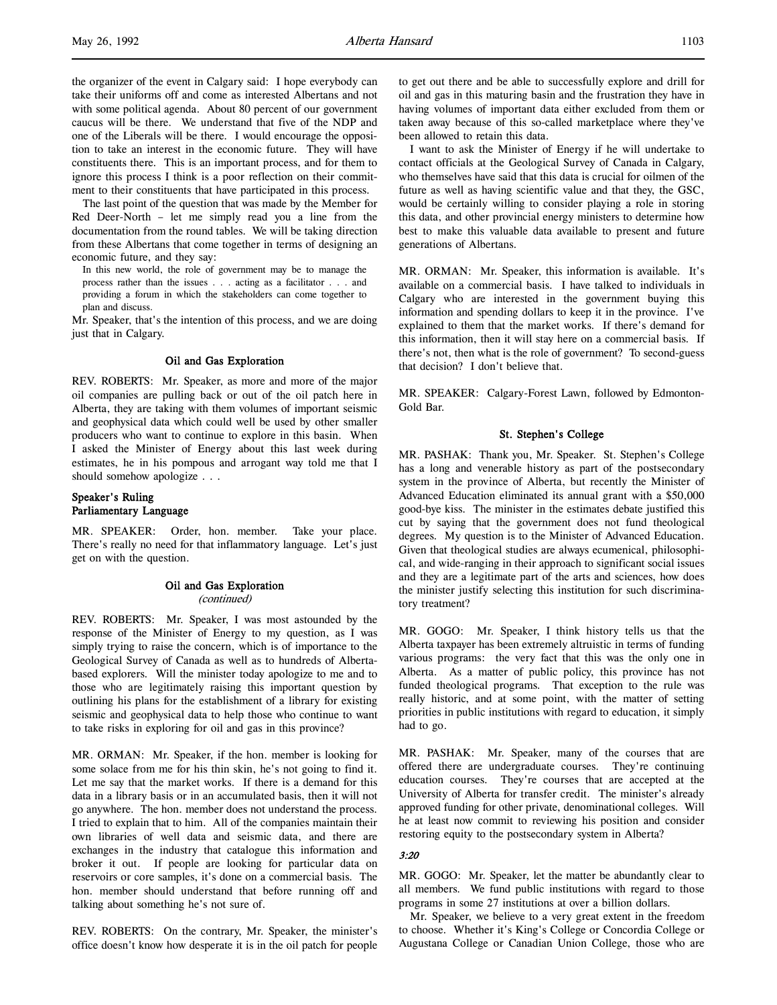the organizer of the event in Calgary said: I hope everybody can take their uniforms off and come as interested Albertans and not with some political agenda. About 80 percent of our government caucus will be there. We understand that five of the NDP and one of the Liberals will be there. I would encourage the opposition to take an interest in the economic future. They will have constituents there. This is an important process, and for them to ignore this process I think is a poor reflection on their commitment to their constituents that have participated in this process.

The last point of the question that was made by the Member for Red Deer-North – let me simply read you a line from the documentation from the round tables. We will be taking direction from these Albertans that come together in terms of designing an economic future, and they say:

In this new world, the role of government may be to manage the process rather than the issues . . . acting as a facilitator . . . and providing a forum in which the stakeholders can come together to plan and discuss.

Mr. Speaker, that's the intention of this process, and we are doing just that in Calgary.

## Oil and Gas Exploration

REV. ROBERTS: Mr. Speaker, as more and more of the major oil companies are pulling back or out of the oil patch here in Alberta, they are taking with them volumes of important seismic and geophysical data which could well be used by other smaller producers who want to continue to explore in this basin. When I asked the Minister of Energy about this last week during estimates, he in his pompous and arrogant way told me that I should somehow apologize . . .

# Speaker's Ruling Parliamentary Language

MR. SPEAKER: Order, hon. member. Take your place. There's really no need for that inflammatory language. Let's just get on with the question.

# Oil and Gas Exploration (continued)

REV. ROBERTS: Mr. Speaker, I was most astounded by the response of the Minister of Energy to my question, as I was simply trying to raise the concern, which is of importance to the Geological Survey of Canada as well as to hundreds of Albertabased explorers. Will the minister today apologize to me and to those who are legitimately raising this important question by outlining his plans for the establishment of a library for existing seismic and geophysical data to help those who continue to want to take risks in exploring for oil and gas in this province?

MR. ORMAN: Mr. Speaker, if the hon. member is looking for some solace from me for his thin skin, he's not going to find it. Let me say that the market works. If there is a demand for this data in a library basis or in an accumulated basis, then it will not go anywhere. The hon. member does not understand the process. I tried to explain that to him. All of the companies maintain their own libraries of well data and seismic data, and there are exchanges in the industry that catalogue this information and broker it out. If people are looking for particular data on reservoirs or core samples, it's done on a commercial basis. The hon. member should understand that before running off and talking about something he's not sure of.

REV. ROBERTS: On the contrary, Mr. Speaker, the minister's office doesn't know how desperate it is in the oil patch for people to get out there and be able to successfully explore and drill for oil and gas in this maturing basin and the frustration they have in having volumes of important data either excluded from them or taken away because of this so-called marketplace where they've been allowed to retain this data.

I want to ask the Minister of Energy if he will undertake to contact officials at the Geological Survey of Canada in Calgary, who themselves have said that this data is crucial for oilmen of the future as well as having scientific value and that they, the GSC, would be certainly willing to consider playing a role in storing this data, and other provincial energy ministers to determine how best to make this valuable data available to present and future generations of Albertans.

MR. ORMAN: Mr. Speaker, this information is available. It's available on a commercial basis. I have talked to individuals in Calgary who are interested in the government buying this information and spending dollars to keep it in the province. I've explained to them that the market works. If there's demand for this information, then it will stay here on a commercial basis. If there's not, then what is the role of government? To second-guess that decision? I don't believe that.

MR. SPEAKER: Calgary-Forest Lawn, followed by Edmonton-Gold Bar.

## St. Stephen's College

MR. PASHAK: Thank you, Mr. Speaker. St. Stephen's College has a long and venerable history as part of the postsecondary system in the province of Alberta, but recently the Minister of Advanced Education eliminated its annual grant with a \$50,000 good-bye kiss. The minister in the estimates debate justified this cut by saying that the government does not fund theological degrees. My question is to the Minister of Advanced Education. Given that theological studies are always ecumenical, philosophical, and wide-ranging in their approach to significant social issues and they are a legitimate part of the arts and sciences, how does the minister justify selecting this institution for such discriminatory treatment?

MR. GOGO: Mr. Speaker, I think history tells us that the Alberta taxpayer has been extremely altruistic in terms of funding various programs: the very fact that this was the only one in Alberta. As a matter of public policy, this province has not funded theological programs. That exception to the rule was really historic, and at some point, with the matter of setting priorities in public institutions with regard to education, it simply had to go.

MR. PASHAK: Mr. Speaker, many of the courses that are offered there are undergraduate courses. They're continuing education courses. They're courses that are accepted at the University of Alberta for transfer credit. The minister's already approved funding for other private, denominational colleges. Will he at least now commit to reviewing his position and consider restoring equity to the postsecondary system in Alberta?

#### 3:20

MR. GOGO: Mr. Speaker, let the matter be abundantly clear to all members. We fund public institutions with regard to those programs in some 27 institutions at over a billion dollars.

Mr. Speaker, we believe to a very great extent in the freedom to choose. Whether it's King's College or Concordia College or Augustana College or Canadian Union College, those who are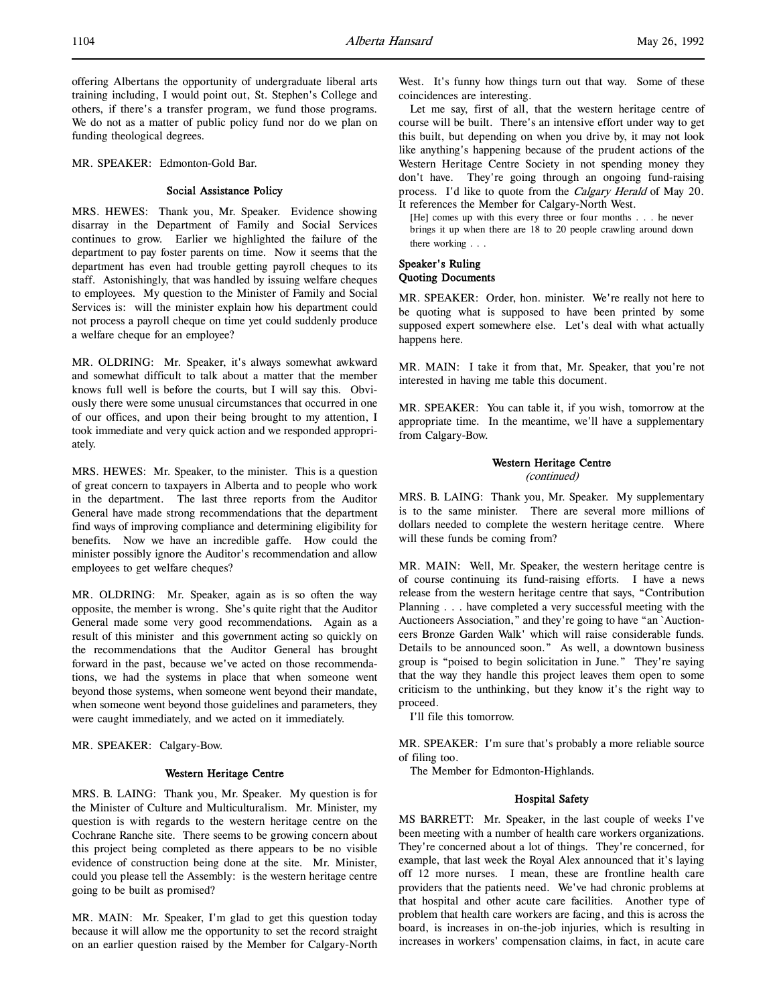offering Albertans the opportunity of undergraduate liberal arts training including, I would point out, St. Stephen's College and others, if there's a transfer program, we fund those programs. We do not as a matter of public policy fund nor do we plan on funding theological degrees.

MR. SPEAKER: Edmonton-Gold Bar.

## Social Assistance Policy

MRS. HEWES: Thank you, Mr. Speaker. Evidence showing disarray in the Department of Family and Social Services continues to grow. Earlier we highlighted the failure of the department to pay foster parents on time. Now it seems that the department has even had trouble getting payroll cheques to its staff. Astonishingly, that was handled by issuing welfare cheques to employees. My question to the Minister of Family and Social Services is: will the minister explain how his department could not process a payroll cheque on time yet could suddenly produce a welfare cheque for an employee?

MR. OLDRING: Mr. Speaker, it's always somewhat awkward and somewhat difficult to talk about a matter that the member knows full well is before the courts, but I will say this. Obviously there were some unusual circumstances that occurred in one of our offices, and upon their being brought to my attention, I took immediate and very quick action and we responded appropriately.

MRS. HEWES: Mr. Speaker, to the minister. This is a question of great concern to taxpayers in Alberta and to people who work in the department. The last three reports from the Auditor General have made strong recommendations that the department find ways of improving compliance and determining eligibility for benefits. Now we have an incredible gaffe. How could the minister possibly ignore the Auditor's recommendation and allow employees to get welfare cheques?

MR. OLDRING: Mr. Speaker, again as is so often the way opposite, the member is wrong. She's quite right that the Auditor General made some very good recommendations. Again as a result of this minister and this government acting so quickly on the recommendations that the Auditor General has brought forward in the past, because we've acted on those recommendations, we had the systems in place that when someone went beyond those systems, when someone went beyond their mandate, when someone went beyond those guidelines and parameters, they were caught immediately, and we acted on it immediately.

MR. SPEAKER: Calgary-Bow.

## Western Heritage Centre

MRS. B. LAING: Thank you, Mr. Speaker. My question is for the Minister of Culture and Multiculturalism. Mr. Minister, my question is with regards to the western heritage centre on the Cochrane Ranche site. There seems to be growing concern about this project being completed as there appears to be no visible evidence of construction being done at the site. Mr. Minister, could you please tell the Assembly: is the western heritage centre going to be built as promised?

MR. MAIN: Mr. Speaker, I'm glad to get this question today because it will allow me the opportunity to set the record straight on an earlier question raised by the Member for Calgary-North West. It's funny how things turn out that way. Some of these coincidences are interesting.

Let me say, first of all, that the western heritage centre of course will be built. There's an intensive effort under way to get this built, but depending on when you drive by, it may not look like anything's happening because of the prudent actions of the Western Heritage Centre Society in not spending money they don't have. They're going through an ongoing fund-raising process. I'd like to quote from the *Calgary Herald* of May 20. It references the Member for Calgary-North West.

[He] comes up with this every three or four months . . . he never brings it up when there are 18 to 20 people crawling around down there working . . .

# Speaker's Ruling Quoting Documents

MR. SPEAKER: Order, hon. minister. We're really not here to be quoting what is supposed to have been printed by some supposed expert somewhere else. Let's deal with what actually happens here.

MR. MAIN: I take it from that, Mr. Speaker, that you're not interested in having me table this document.

MR. SPEAKER: You can table it, if you wish, tomorrow at the appropriate time. In the meantime, we'll have a supplementary from Calgary-Bow.

# Western Heritage Centre

(continued)

MRS. B. LAING: Thank you, Mr. Speaker. My supplementary is to the same minister. There are several more millions of dollars needed to complete the western heritage centre. Where will these funds be coming from?

MR. MAIN: Well, Mr. Speaker, the western heritage centre is of course continuing its fund-raising efforts. I have a news release from the western heritage centre that says, "Contribution Planning . . . have completed a very successful meeting with the Auctioneers Association," and they're going to have "an `Auctioneers Bronze Garden Walk' which will raise considerable funds. Details to be announced soon." As well, a downtown business group is "poised to begin solicitation in June." They're saying that the way they handle this project leaves them open to some criticism to the unthinking, but they know it's the right way to proceed.

I'll file this tomorrow.

MR. SPEAKER: I'm sure that's probably a more reliable source of filing too.

The Member for Edmonton-Highlands.

# Hospital Safety

MS BARRETT: Mr. Speaker, in the last couple of weeks I've been meeting with a number of health care workers organizations. They're concerned about a lot of things. They're concerned, for example, that last week the Royal Alex announced that it's laying off 12 more nurses. I mean, these are frontline health care providers that the patients need. We've had chronic problems at that hospital and other acute care facilities. Another type of problem that health care workers are facing, and this is across the board, is increases in on-the-job injuries, which is resulting in increases in workers' compensation claims, in fact, in acute care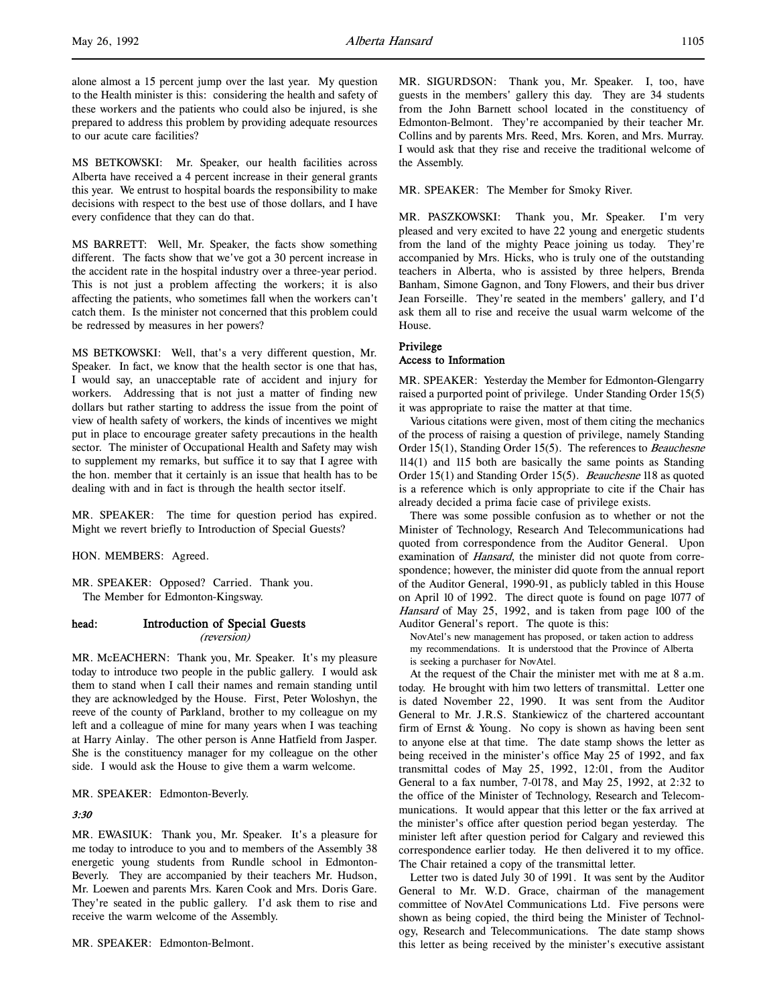MS BETKOWSKI: Mr. Speaker, our health facilities across Alberta have received a 4 percent increase in their general grants this year. We entrust to hospital boards the responsibility to make decisions with respect to the best use of those dollars, and I have every confidence that they can do that.

MS BARRETT: Well, Mr. Speaker, the facts show something different. The facts show that we've got a 30 percent increase in the accident rate in the hospital industry over a three-year period. This is not just a problem affecting the workers; it is also affecting the patients, who sometimes fall when the workers can't catch them. Is the minister not concerned that this problem could be redressed by measures in her powers?

MS BETKOWSKI: Well, that's a very different question, Mr. Speaker. In fact, we know that the health sector is one that has, I would say, an unacceptable rate of accident and injury for workers. Addressing that is not just a matter of finding new dollars but rather starting to address the issue from the point of view of health safety of workers, the kinds of incentives we might put in place to encourage greater safety precautions in the health sector. The minister of Occupational Health and Safety may wish to supplement my remarks, but suffice it to say that I agree with the hon. member that it certainly is an issue that health has to be dealing with and in fact is through the health sector itself.

MR. SPEAKER: The time for question period has expired. Might we revert briefly to Introduction of Special Guests?

HON. MEMBERS: Agreed.

MR. SPEAKER: Opposed? Carried. Thank you. The Member for Edmonton-Kingsway.

# head: Introduction of Special Guests

(reversion)

MR. McEACHERN: Thank you, Mr. Speaker. It's my pleasure today to introduce two people in the public gallery. I would ask them to stand when I call their names and remain standing until they are acknowledged by the House. First, Peter Woloshyn, the reeve of the county of Parkland, brother to my colleague on my left and a colleague of mine for many years when I was teaching at Harry Ainlay. The other person is Anne Hatfield from Jasper. She is the constituency manager for my colleague on the other side. I would ask the House to give them a warm welcome.

MR. SPEAKER: Edmonton-Beverly.

3:30

MR. EWASIUK: Thank you, Mr. Speaker. It's a pleasure for me today to introduce to you and to members of the Assembly 38 energetic young students from Rundle school in Edmonton-Beverly. They are accompanied by their teachers Mr. Hudson, Mr. Loewen and parents Mrs. Karen Cook and Mrs. Doris Gare. They're seated in the public gallery. I'd ask them to rise and receive the warm welcome of the Assembly.

MR. SPEAKER: Edmonton-Belmont.

MR. SIGURDSON: Thank you, Mr. Speaker. I, too, have guests in the members' gallery this day. They are 34 students from the John Barnett school located in the constituency of Edmonton-Belmont. They're accompanied by their teacher Mr. Collins and by parents Mrs. Reed, Mrs. Koren, and Mrs. Murray. I would ask that they rise and receive the traditional welcome of the Assembly.

MR. SPEAKER: The Member for Smoky River.

MR. PASZKOWSKI: Thank you, Mr. Speaker. I'm very pleased and very excited to have 22 young and energetic students from the land of the mighty Peace joining us today. They're accompanied by Mrs. Hicks, who is truly one of the outstanding teachers in Alberta, who is assisted by three helpers, Brenda Banham, Simone Gagnon, and Tony Flowers, and their bus driver Jean Forseille. They're seated in the members' gallery, and I'd ask them all to rise and receive the usual warm welcome of the House.

# Privilege Access to Information

MR. SPEAKER: Yesterday the Member for Edmonton-Glengarry raised a purported point of privilege. Under Standing Order 15(5) it was appropriate to raise the matter at that time.

Various citations were given, most of them citing the mechanics of the process of raising a question of privilege, namely Standing Order 15(1), Standing Order 15(5). The references to *Beauchesne* 114(1) and 115 both are basically the same points as Standing Order 15(1) and Standing Order 15(5). Beauchesne 118 as quoted is a reference which is only appropriate to cite if the Chair has already decided a prima facie case of privilege exists.

There was some possible confusion as to whether or not the Minister of Technology, Research And Telecommunications had quoted from correspondence from the Auditor General. Upon examination of Hansard, the minister did not quote from correspondence; however, the minister did quote from the annual report of the Auditor General, 1990-91, as publicly tabled in this House on April 10 of 1992. The direct quote is found on page 1077 of Hansard of May 25, 1992, and is taken from page 100 of the Auditor General's report. The quote is this:

NovAtel's new management has proposed, or taken action to address my recommendations. It is understood that the Province of Alberta is seeking a purchaser for NovAtel.

At the request of the Chair the minister met with me at 8 a.m. today. He brought with him two letters of transmittal. Letter one is dated November 22, 1990. It was sent from the Auditor General to Mr. J.R.S. Stankiewicz of the chartered accountant firm of Ernst & Young. No copy is shown as having been sent to anyone else at that time. The date stamp shows the letter as being received in the minister's office May 25 of 1992, and fax transmittal codes of May 25, 1992, 12:01, from the Auditor General to a fax number, 7-0178, and May 25, 1992, at 2:32 to the office of the Minister of Technology, Research and Telecommunications. It would appear that this letter or the fax arrived at the minister's office after question period began yesterday. The minister left after question period for Calgary and reviewed this correspondence earlier today. He then delivered it to my office. The Chair retained a copy of the transmittal letter.

Letter two is dated July 30 of 1991. It was sent by the Auditor General to Mr. W.D. Grace, chairman of the management committee of NovAtel Communications Ltd. Five persons were shown as being copied, the third being the Minister of Technology, Research and Telecommunications. The date stamp shows this letter as being received by the minister's executive assistant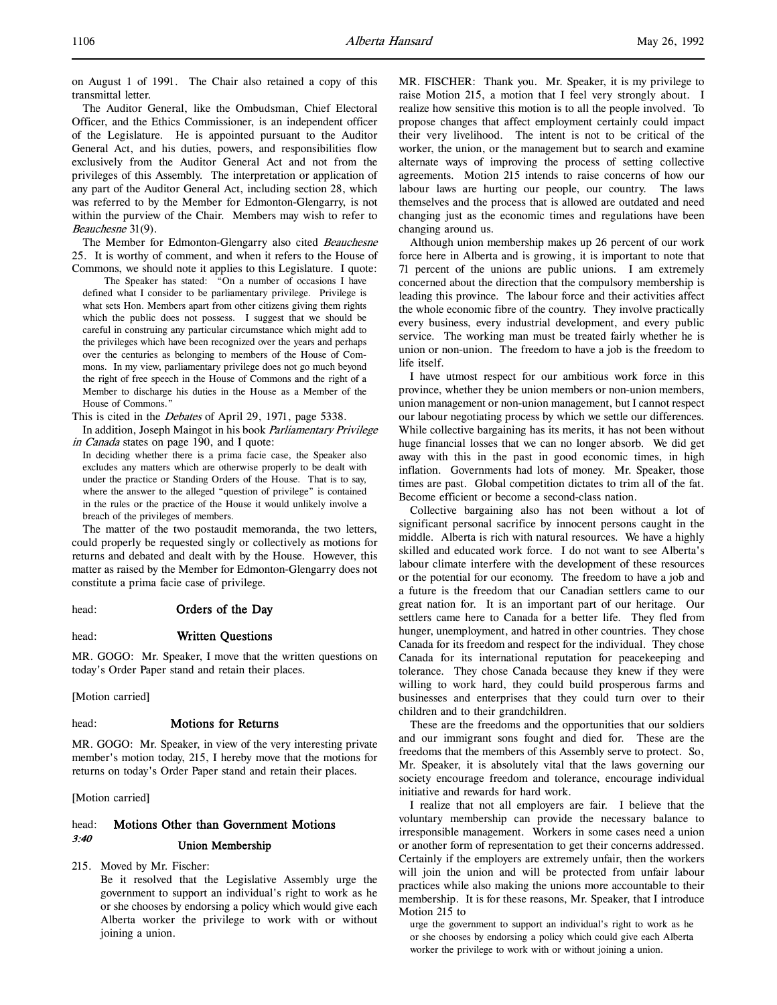on August 1 of 1991. The Chair also retained a copy of this transmittal letter.

The Auditor General, like the Ombudsman, Chief Electoral Officer, and the Ethics Commissioner, is an independent officer of the Legislature. He is appointed pursuant to the Auditor General Act, and his duties, powers, and responsibilities flow exclusively from the Auditor General Act and not from the privileges of this Assembly. The interpretation or application of any part of the Auditor General Act, including section 28, which was referred to by the Member for Edmonton-Glengarry, is not within the purview of the Chair. Members may wish to refer to Beauchesne 31(9).

The Member for Edmonton-Glengarry also cited Beauchesne 25. It is worthy of comment, and when it refers to the House of Commons, we should note it applies to this Legislature. I quote:

The Speaker has stated: "On a number of occasions I have defined what I consider to be parliamentary privilege. Privilege is what sets Hon. Members apart from other citizens giving them rights which the public does not possess. I suggest that we should be careful in construing any particular circumstance which might add to the privileges which have been recognized over the years and perhaps over the centuries as belonging to members of the House of Commons. In my view, parliamentary privilege does not go much beyond the right of free speech in the House of Commons and the right of a Member to discharge his duties in the House as a Member of the House of Commons."

This is cited in the *Debates* of April 29, 1971, page 5338.

In addition, Joseph Maingot in his book Parliamentary Privilege in Canada states on page 190, and I quote:

In deciding whether there is a prima facie case, the Speaker also excludes any matters which are otherwise properly to be dealt with under the practice or Standing Orders of the House. That is to say, where the answer to the alleged "question of privilege" is contained in the rules or the practice of the House it would unlikely involve a breach of the privileges of members.

The matter of the two postaudit memoranda, the two letters, could properly be requested singly or collectively as motions for returns and debated and dealt with by the House. However, this matter as raised by the Member for Edmonton-Glengarry does not constitute a prima facie case of privilege.

head: **Orders of the Day** 

## head: Written Questions

MR. GOGO: Mr. Speaker, I move that the written questions on today's Order Paper stand and retain their places.

[Motion carried]

# head: **Motions for Returns**

MR. GOGO: Mr. Speaker, in view of the very interesting private member's motion today, 215, I hereby move that the motions for returns on today's Order Paper stand and retain their places.

[Motion carried]

# head: Motions Other than Government Motions 3:40 Union Membership

215. Moved by Mr. Fischer:

Be it resolved that the Legislative Assembly urge the government to support an individual's right to work as he or she chooses by endorsing a policy which would give each Alberta worker the privilege to work with or without joining a union.

MR. FISCHER: Thank you. Mr. Speaker, it is my privilege to raise Motion 215, a motion that I feel very strongly about. I realize how sensitive this motion is to all the people involved. To propose changes that affect employment certainly could impact their very livelihood. The intent is not to be critical of the worker, the union, or the management but to search and examine alternate ways of improving the process of setting collective agreements. Motion 215 intends to raise concerns of how our labour laws are hurting our people, our country. The laws themselves and the process that is allowed are outdated and need changing just as the economic times and regulations have been changing around us.

Although union membership makes up 26 percent of our work force here in Alberta and is growing, it is important to note that 71 percent of the unions are public unions. I am extremely concerned about the direction that the compulsory membership is leading this province. The labour force and their activities affect the whole economic fibre of the country. They involve practically every business, every industrial development, and every public service. The working man must be treated fairly whether he is union or non-union. The freedom to have a job is the freedom to life itself.

I have utmost respect for our ambitious work force in this province, whether they be union members or non-union members, union management or non-union management, but I cannot respect our labour negotiating process by which we settle our differences. While collective bargaining has its merits, it has not been without huge financial losses that we can no longer absorb. We did get away with this in the past in good economic times, in high inflation. Governments had lots of money. Mr. Speaker, those times are past. Global competition dictates to trim all of the fat. Become efficient or become a second-class nation.

Collective bargaining also has not been without a lot of significant personal sacrifice by innocent persons caught in the middle. Alberta is rich with natural resources. We have a highly skilled and educated work force. I do not want to see Alberta's labour climate interfere with the development of these resources or the potential for our economy. The freedom to have a job and a future is the freedom that our Canadian settlers came to our great nation for. It is an important part of our heritage. Our settlers came here to Canada for a better life. They fled from hunger, unemployment, and hatred in other countries. They chose Canada for its freedom and respect for the individual. They chose Canada for its international reputation for peacekeeping and tolerance. They chose Canada because they knew if they were willing to work hard, they could build prosperous farms and businesses and enterprises that they could turn over to their children and to their grandchildren.

These are the freedoms and the opportunities that our soldiers and our immigrant sons fought and died for. These are the freedoms that the members of this Assembly serve to protect. So, Mr. Speaker, it is absolutely vital that the laws governing our society encourage freedom and tolerance, encourage individual initiative and rewards for hard work.

I realize that not all employers are fair. I believe that the voluntary membership can provide the necessary balance to irresponsible management. Workers in some cases need a union or another form of representation to get their concerns addressed. Certainly if the employers are extremely unfair, then the workers will join the union and will be protected from unfair labour practices while also making the unions more accountable to their membership. It is for these reasons, Mr. Speaker, that I introduce Motion 215 to

urge the government to support an individual's right to work as he or she chooses by endorsing a policy which could give each Alberta worker the privilege to work with or without joining a union.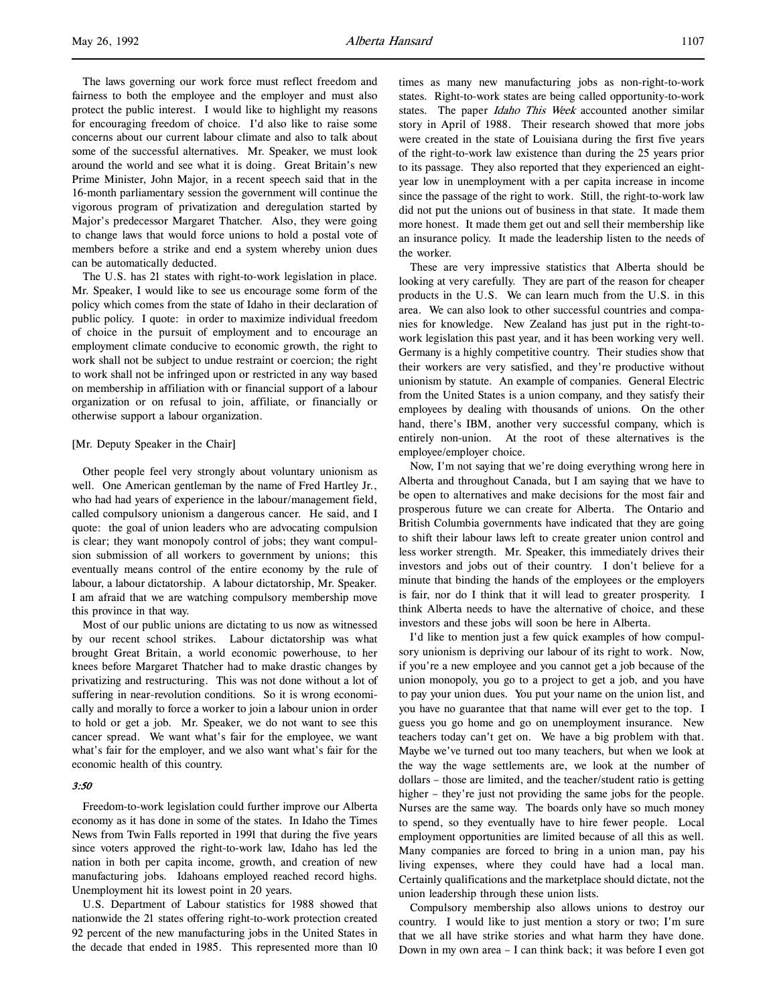The laws governing our work force must reflect freedom and fairness to both the employee and the employer and must also protect the public interest. I would like to highlight my reasons for encouraging freedom of choice. I'd also like to raise some concerns about our current labour climate and also to talk about some of the successful alternatives. Mr. Speaker, we must look around the world and see what it is doing. Great Britain's new Prime Minister, John Major, in a recent speech said that in the 16-month parliamentary session the government will continue the vigorous program of privatization and deregulation started by Major's predecessor Margaret Thatcher. Also, they were going to change laws that would force unions to hold a postal vote of members before a strike and end a system whereby union dues can be automatically deducted.

The U.S. has 21 states with right-to-work legislation in place. Mr. Speaker, I would like to see us encourage some form of the policy which comes from the state of Idaho in their declaration of public policy. I quote: in order to maximize individual freedom of choice in the pursuit of employment and to encourage an employment climate conducive to economic growth, the right to work shall not be subject to undue restraint or coercion; the right to work shall not be infringed upon or restricted in any way based on membership in affiliation with or financial support of a labour organization or on refusal to join, affiliate, or financially or otherwise support a labour organization.

#### [Mr. Deputy Speaker in the Chair]

Other people feel very strongly about voluntary unionism as well. One American gentleman by the name of Fred Hartley Jr., who had had years of experience in the labour/management field, called compulsory unionism a dangerous cancer. He said, and I quote: the goal of union leaders who are advocating compulsion is clear; they want monopoly control of jobs; they want compulsion submission of all workers to government by unions; this eventually means control of the entire economy by the rule of labour, a labour dictatorship. A labour dictatorship, Mr. Speaker. I am afraid that we are watching compulsory membership move this province in that way.

Most of our public unions are dictating to us now as witnessed by our recent school strikes. Labour dictatorship was what brought Great Britain, a world economic powerhouse, to her knees before Margaret Thatcher had to make drastic changes by privatizing and restructuring. This was not done without a lot of suffering in near-revolution conditions. So it is wrong economically and morally to force a worker to join a labour union in order to hold or get a job. Mr. Speaker, we do not want to see this cancer spread. We want what's fair for the employee, we want what's fair for the employer, and we also want what's fair for the economic health of this country.

# $3.50$

Freedom-to-work legislation could further improve our Alberta economy as it has done in some of the states. In Idaho the Times News from Twin Falls reported in 1991 that during the five years since voters approved the right-to-work law, Idaho has led the nation in both per capita income, growth, and creation of new manufacturing jobs. Idahoans employed reached record highs. Unemployment hit its lowest point in 20 years.

U.S. Department of Labour statistics for 1988 showed that nationwide the 21 states offering right-to-work protection created 92 percent of the new manufacturing jobs in the United States in the decade that ended in 1985. This represented more than 10

times as many new manufacturing jobs as non-right-to-work states. Right-to-work states are being called opportunity-to-work states. The paper Idaho This Week accounted another similar story in April of 1988. Their research showed that more jobs were created in the state of Louisiana during the first five years of the right-to-work law existence than during the 25 years prior to its passage. They also reported that they experienced an eightyear low in unemployment with a per capita increase in income since the passage of the right to work. Still, the right-to-work law did not put the unions out of business in that state. It made them more honest. It made them get out and sell their membership like an insurance policy. It made the leadership listen to the needs of the worker.

These are very impressive statistics that Alberta should be looking at very carefully. They are part of the reason for cheaper products in the U.S. We can learn much from the U.S. in this area. We can also look to other successful countries and companies for knowledge. New Zealand has just put in the right-towork legislation this past year, and it has been working very well. Germany is a highly competitive country. Their studies show that their workers are very satisfied, and they're productive without unionism by statute. An example of companies. General Electric from the United States is a union company, and they satisfy their employees by dealing with thousands of unions. On the other hand, there's IBM, another very successful company, which is entirely non-union. At the root of these alternatives is the employee/employer choice.

Now, I'm not saying that we're doing everything wrong here in Alberta and throughout Canada, but I am saying that we have to be open to alternatives and make decisions for the most fair and prosperous future we can create for Alberta. The Ontario and British Columbia governments have indicated that they are going to shift their labour laws left to create greater union control and less worker strength. Mr. Speaker, this immediately drives their investors and jobs out of their country. I don't believe for a minute that binding the hands of the employees or the employers is fair, nor do I think that it will lead to greater prosperity. I think Alberta needs to have the alternative of choice, and these investors and these jobs will soon be here in Alberta.

I'd like to mention just a few quick examples of how compulsory unionism is depriving our labour of its right to work. Now, if you're a new employee and you cannot get a job because of the union monopoly, you go to a project to get a job, and you have to pay your union dues. You put your name on the union list, and you have no guarantee that that name will ever get to the top. I guess you go home and go on unemployment insurance. New teachers today can't get on. We have a big problem with that. Maybe we've turned out too many teachers, but when we look at the way the wage settlements are, we look at the number of dollars – those are limited, and the teacher/student ratio is getting higher – they're just not providing the same jobs for the people. Nurses are the same way. The boards only have so much money to spend, so they eventually have to hire fewer people. Local employment opportunities are limited because of all this as well. Many companies are forced to bring in a union man, pay his living expenses, where they could have had a local man. Certainly qualifications and the marketplace should dictate, not the union leadership through these union lists.

Compulsory membership also allows unions to destroy our country. I would like to just mention a story or two; I'm sure that we all have strike stories and what harm they have done. Down in my own area – I can think back; it was before I even got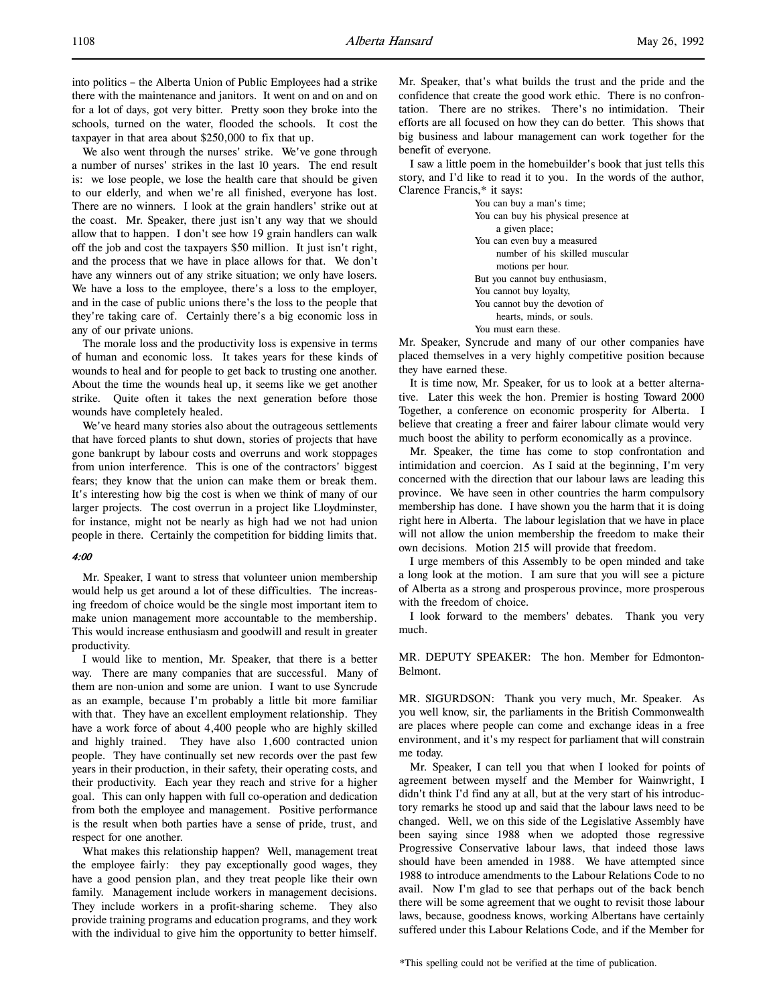into politics – the Alberta Union of Public Employees had a strike there with the maintenance and janitors. It went on and on and on for a lot of days, got very bitter. Pretty soon they broke into the schools, turned on the water, flooded the schools. It cost the taxpayer in that area about \$250,000 to fix that up.

We also went through the nurses' strike. We've gone through a number of nurses' strikes in the last 10 years. The end result is: we lose people, we lose the health care that should be given to our elderly, and when we're all finished, everyone has lost. There are no winners. I look at the grain handlers' strike out at the coast. Mr. Speaker, there just isn't any way that we should allow that to happen. I don't see how 19 grain handlers can walk off the job and cost the taxpayers \$50 million. It just isn't right, and the process that we have in place allows for that. We don't have any winners out of any strike situation; we only have losers. We have a loss to the employee, there's a loss to the employer, and in the case of public unions there's the loss to the people that they're taking care of. Certainly there's a big economic loss in any of our private unions.

The morale loss and the productivity loss is expensive in terms of human and economic loss. It takes years for these kinds of wounds to heal and for people to get back to trusting one another. About the time the wounds heal up, it seems like we get another strike. Quite often it takes the next generation before those wounds have completely healed.

We've heard many stories also about the outrageous settlements that have forced plants to shut down, stories of projects that have gone bankrupt by labour costs and overruns and work stoppages from union interference. This is one of the contractors' biggest fears; they know that the union can make them or break them. It's interesting how big the cost is when we think of many of our larger projects. The cost overrun in a project like Lloydminster, for instance, might not be nearly as high had we not had union people in there. Certainly the competition for bidding limits that.

## 4:00

Mr. Speaker, I want to stress that volunteer union membership would help us get around a lot of these difficulties. The increasing freedom of choice would be the single most important item to make union management more accountable to the membership. This would increase enthusiasm and goodwill and result in greater productivity.

I would like to mention, Mr. Speaker, that there is a better way. There are many companies that are successful. Many of them are non-union and some are union. I want to use Syncrude as an example, because I'm probably a little bit more familiar with that. They have an excellent employment relationship. They have a work force of about 4,400 people who are highly skilled and highly trained. They have also 1,600 contracted union people. They have continually set new records over the past few years in their production, in their safety, their operating costs, and their productivity. Each year they reach and strive for a higher goal. This can only happen with full co-operation and dedication from both the employee and management. Positive performance is the result when both parties have a sense of pride, trust, and respect for one another.

What makes this relationship happen? Well, management treat the employee fairly: they pay exceptionally good wages, they have a good pension plan, and they treat people like their own family. Management include workers in management decisions. They include workers in a profit-sharing scheme. They also provide training programs and education programs, and they work with the individual to give him the opportunity to better himself.

Mr. Speaker, that's what builds the trust and the pride and the confidence that create the good work ethic. There is no confrontation. There are no strikes. There's no intimidation. Their efforts are all focused on how they can do better. This shows that big business and labour management can work together for the benefit of everyone.

I saw a little poem in the homebuilder's book that just tells this story, and I'd like to read it to you. In the words of the author, Clarence Francis,\* it says:

> You can buy a man's time; You can buy his physical presence at a given place; You can even buy a measured number of his skilled muscular motions per hour. But you cannot buy enthusiasm, You cannot buy loyalty, You cannot buy the devotion of hearts, minds, or souls. You must earn these.

Mr. Speaker, Syncrude and many of our other companies have placed themselves in a very highly competitive position because they have earned these.

It is time now, Mr. Speaker, for us to look at a better alternative. Later this week the hon. Premier is hosting Toward 2000 Together, a conference on economic prosperity for Alberta. I believe that creating a freer and fairer labour climate would very much boost the ability to perform economically as a province.

Mr. Speaker, the time has come to stop confrontation and intimidation and coercion. As I said at the beginning, I'm very concerned with the direction that our labour laws are leading this province. We have seen in other countries the harm compulsory membership has done. I have shown you the harm that it is doing right here in Alberta. The labour legislation that we have in place will not allow the union membership the freedom to make their own decisions. Motion 215 will provide that freedom.

I urge members of this Assembly to be open minded and take a long look at the motion. I am sure that you will see a picture of Alberta as a strong and prosperous province, more prosperous with the freedom of choice.

I look forward to the members' debates. Thank you very much.

MR. DEPUTY SPEAKER: The hon. Member for Edmonton-Belmont.

MR. SIGURDSON: Thank you very much, Mr. Speaker. As you well know, sir, the parliaments in the British Commonwealth are places where people can come and exchange ideas in a free environment, and it's my respect for parliament that will constrain me today.

Mr. Speaker, I can tell you that when I looked for points of agreement between myself and the Member for Wainwright, I didn't think I'd find any at all, but at the very start of his introductory remarks he stood up and said that the labour laws need to be changed. Well, we on this side of the Legislative Assembly have been saying since 1988 when we adopted those regressive Progressive Conservative labour laws, that indeed those laws should have been amended in 1988. We have attempted since 1988 to introduce amendments to the Labour Relations Code to no avail. Now I'm glad to see that perhaps out of the back bench there will be some agreement that we ought to revisit those labour laws, because, goodness knows, working Albertans have certainly suffered under this Labour Relations Code, and if the Member for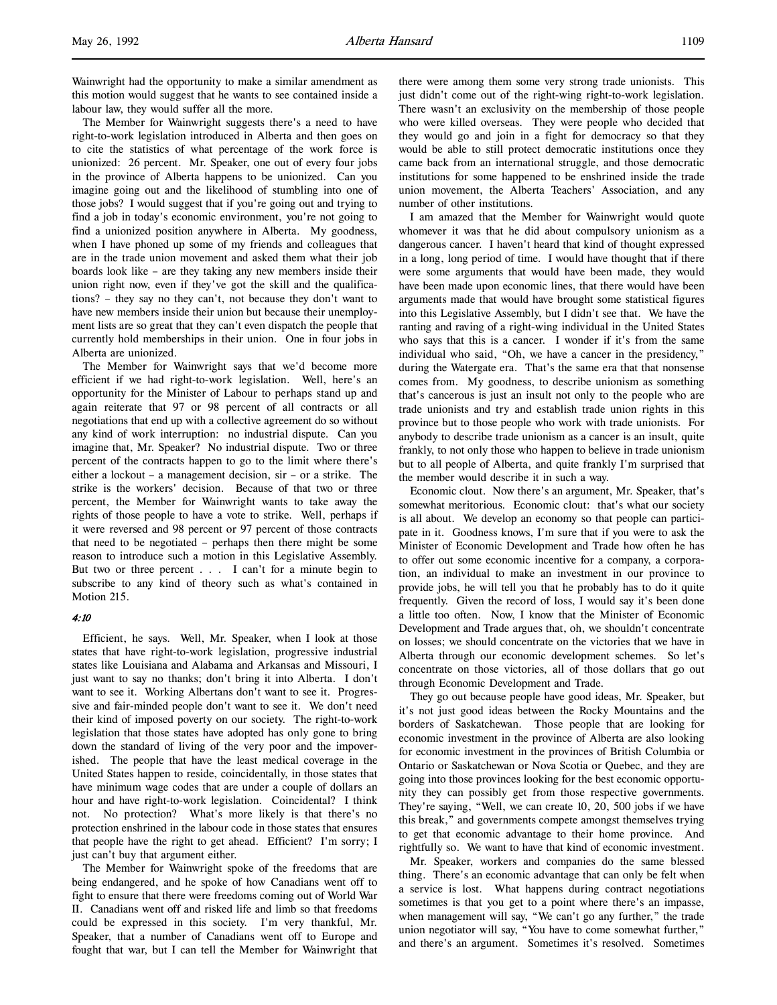Wainwright had the opportunity to make a similar amendment as this motion would suggest that he wants to see contained inside a labour law, they would suffer all the more.

The Member for Wainwright suggests there's a need to have right-to-work legislation introduced in Alberta and then goes on to cite the statistics of what percentage of the work force is unionized: 26 percent. Mr. Speaker, one out of every four jobs in the province of Alberta happens to be unionized. Can you imagine going out and the likelihood of stumbling into one of those jobs? I would suggest that if you're going out and trying to find a job in today's economic environment, you're not going to find a unionized position anywhere in Alberta. My goodness, when I have phoned up some of my friends and colleagues that are in the trade union movement and asked them what their job boards look like – are they taking any new members inside their union right now, even if they've got the skill and the qualifications? – they say no they can't, not because they don't want to have new members inside their union but because their unemployment lists are so great that they can't even dispatch the people that currently hold memberships in their union. One in four jobs in Alberta are unionized.

The Member for Wainwright says that we'd become more efficient if we had right-to-work legislation. Well, here's an opportunity for the Minister of Labour to perhaps stand up and again reiterate that 97 or 98 percent of all contracts or all negotiations that end up with a collective agreement do so without any kind of work interruption: no industrial dispute. Can you imagine that, Mr. Speaker? No industrial dispute. Two or three percent of the contracts happen to go to the limit where there's either a lockout – a management decision, sir – or a strike. The strike is the workers' decision. Because of that two or three percent, the Member for Wainwright wants to take away the rights of those people to have a vote to strike. Well, perhaps if it were reversed and 98 percent or 97 percent of those contracts that need to be negotiated – perhaps then there might be some reason to introduce such a motion in this Legislative Assembly. But two or three percent . . . I can't for a minute begin to subscribe to any kind of theory such as what's contained in Motion 215.

### 4:10

Efficient, he says. Well, Mr. Speaker, when I look at those states that have right-to-work legislation, progressive industrial states like Louisiana and Alabama and Arkansas and Missouri, I just want to say no thanks; don't bring it into Alberta. I don't want to see it. Working Albertans don't want to see it. Progressive and fair-minded people don't want to see it. We don't need their kind of imposed poverty on our society. The right-to-work legislation that those states have adopted has only gone to bring down the standard of living of the very poor and the impoverished. The people that have the least medical coverage in the United States happen to reside, coincidentally, in those states that have minimum wage codes that are under a couple of dollars an hour and have right-to-work legislation. Coincidental? I think not. No protection? What's more likely is that there's no protection enshrined in the labour code in those states that ensures that people have the right to get ahead. Efficient? I'm sorry; I just can't buy that argument either.

The Member for Wainwright spoke of the freedoms that are being endangered, and he spoke of how Canadians went off to fight to ensure that there were freedoms coming out of World War II. Canadians went off and risked life and limb so that freedoms could be expressed in this society. I'm very thankful, Mr. Speaker, that a number of Canadians went off to Europe and fought that war, but I can tell the Member for Wainwright that

there were among them some very strong trade unionists. This just didn't come out of the right-wing right-to-work legislation. There wasn't an exclusivity on the membership of those people who were killed overseas. They were people who decided that they would go and join in a fight for democracy so that they would be able to still protect democratic institutions once they came back from an international struggle, and those democratic institutions for some happened to be enshrined inside the trade union movement, the Alberta Teachers' Association, and any number of other institutions.

I am amazed that the Member for Wainwright would quote whomever it was that he did about compulsory unionism as a dangerous cancer. I haven't heard that kind of thought expressed in a long, long period of time. I would have thought that if there were some arguments that would have been made, they would have been made upon economic lines, that there would have been arguments made that would have brought some statistical figures into this Legislative Assembly, but I didn't see that. We have the ranting and raving of a right-wing individual in the United States who says that this is a cancer. I wonder if it's from the same individual who said, "Oh, we have a cancer in the presidency," during the Watergate era. That's the same era that that nonsense comes from. My goodness, to describe unionism as something that's cancerous is just an insult not only to the people who are trade unionists and try and establish trade union rights in this province but to those people who work with trade unionists. For anybody to describe trade unionism as a cancer is an insult, quite frankly, to not only those who happen to believe in trade unionism but to all people of Alberta, and quite frankly I'm surprised that the member would describe it in such a way.

Economic clout. Now there's an argument, Mr. Speaker, that's somewhat meritorious. Economic clout: that's what our society is all about. We develop an economy so that people can participate in it. Goodness knows, I'm sure that if you were to ask the Minister of Economic Development and Trade how often he has to offer out some economic incentive for a company, a corporation, an individual to make an investment in our province to provide jobs, he will tell you that he probably has to do it quite frequently. Given the record of loss, I would say it's been done a little too often. Now, I know that the Minister of Economic Development and Trade argues that, oh, we shouldn't concentrate on losses; we should concentrate on the victories that we have in Alberta through our economic development schemes. So let's concentrate on those victories, all of those dollars that go out through Economic Development and Trade.

They go out because people have good ideas, Mr. Speaker, but it's not just good ideas between the Rocky Mountains and the borders of Saskatchewan. Those people that are looking for economic investment in the province of Alberta are also looking for economic investment in the provinces of British Columbia or Ontario or Saskatchewan or Nova Scotia or Quebec, and they are going into those provinces looking for the best economic opportunity they can possibly get from those respective governments. They're saying, "Well, we can create 10, 20, 500 jobs if we have this break," and governments compete amongst themselves trying to get that economic advantage to their home province. And rightfully so. We want to have that kind of economic investment.

Mr. Speaker, workers and companies do the same blessed thing. There's an economic advantage that can only be felt when a service is lost. What happens during contract negotiations sometimes is that you get to a point where there's an impasse, when management will say, "We can't go any further," the trade union negotiator will say, "You have to come somewhat further," and there's an argument. Sometimes it's resolved. Sometimes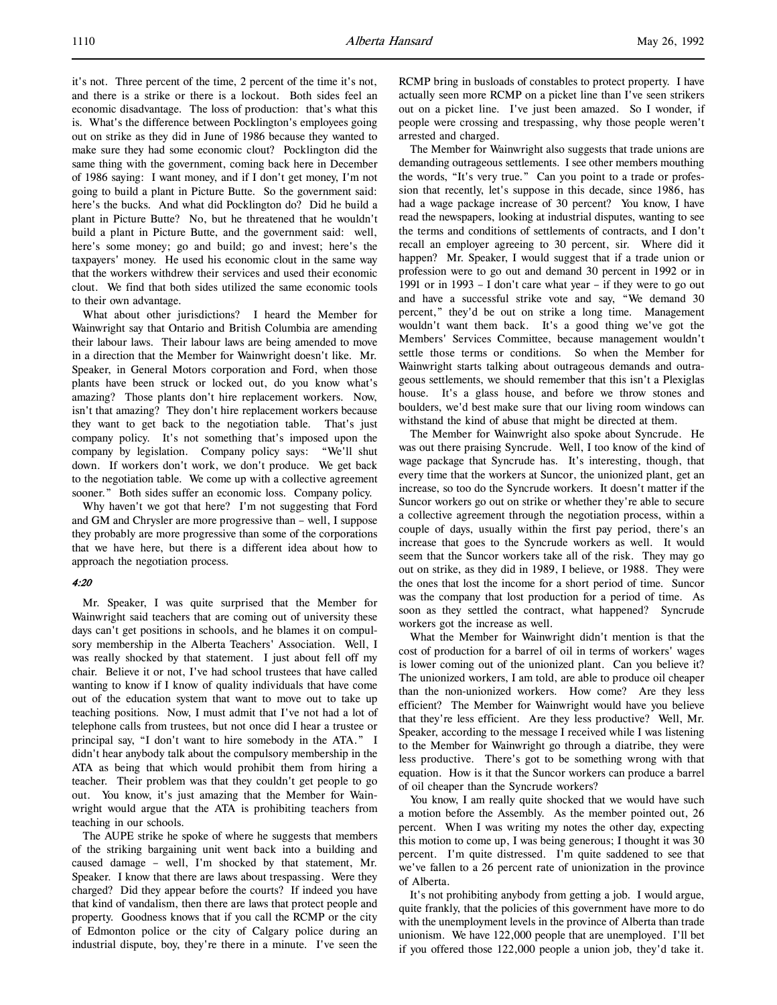it's not. Three percent of the time, 2 percent of the time it's not, and there is a strike or there is a lockout. Both sides feel an economic disadvantage. The loss of production: that's what this is. What's the difference between Pocklington's employees going out on strike as they did in June of 1986 because they wanted to make sure they had some economic clout? Pocklington did the same thing with the government, coming back here in December of 1986 saying: I want money, and if I don't get money, I'm not going to build a plant in Picture Butte. So the government said: here's the bucks. And what did Pocklington do? Did he build a plant in Picture Butte? No, but he threatened that he wouldn't build a plant in Picture Butte, and the government said: well, here's some money; go and build; go and invest; here's the taxpayers' money. He used his economic clout in the same way that the workers withdrew their services and used their economic clout. We find that both sides utilized the same economic tools to their own advantage.

What about other jurisdictions? I heard the Member for Wainwright say that Ontario and British Columbia are amending their labour laws. Their labour laws are being amended to move in a direction that the Member for Wainwright doesn't like. Mr. Speaker, in General Motors corporation and Ford, when those plants have been struck or locked out, do you know what's amazing? Those plants don't hire replacement workers. Now, isn't that amazing? They don't hire replacement workers because they want to get back to the negotiation table. That's just company policy. It's not something that's imposed upon the company by legislation. Company policy says: "We'll shut down. If workers don't work, we don't produce. We get back to the negotiation table. We come up with a collective agreement sooner." Both sides suffer an economic loss. Company policy.

Why haven't we got that here? I'm not suggesting that Ford and GM and Chrysler are more progressive than – well, I suppose they probably are more progressive than some of the corporations that we have here, but there is a different idea about how to approach the negotiation process.

## 4:20

Mr. Speaker, I was quite surprised that the Member for Wainwright said teachers that are coming out of university these days can't get positions in schools, and he blames it on compulsory membership in the Alberta Teachers' Association. Well, I was really shocked by that statement. I just about fell off my chair. Believe it or not, I've had school trustees that have called wanting to know if I know of quality individuals that have come out of the education system that want to move out to take up teaching positions. Now, I must admit that I've not had a lot of telephone calls from trustees, but not once did I hear a trustee or principal say, "I don't want to hire somebody in the ATA." I didn't hear anybody talk about the compulsory membership in the ATA as being that which would prohibit them from hiring a teacher. Their problem was that they couldn't get people to go out. You know, it's just amazing that the Member for Wainwright would argue that the ATA is prohibiting teachers from teaching in our schools.

The AUPE strike he spoke of where he suggests that members of the striking bargaining unit went back into a building and caused damage – well, I'm shocked by that statement, Mr. Speaker. I know that there are laws about trespassing. Were they charged? Did they appear before the courts? If indeed you have that kind of vandalism, then there are laws that protect people and property. Goodness knows that if you call the RCMP or the city of Edmonton police or the city of Calgary police during an industrial dispute, boy, they're there in a minute. I've seen the RCMP bring in busloads of constables to protect property. I have actually seen more RCMP on a picket line than I've seen strikers out on a picket line. I've just been amazed. So I wonder, if people were crossing and trespassing, why those people weren't arrested and charged.

The Member for Wainwright also suggests that trade unions are demanding outrageous settlements. I see other members mouthing the words, "It's very true." Can you point to a trade or profession that recently, let's suppose in this decade, since 1986, has had a wage package increase of 30 percent? You know, I have read the newspapers, looking at industrial disputes, wanting to see the terms and conditions of settlements of contracts, and I don't recall an employer agreeing to 30 percent, sir. Where did it happen? Mr. Speaker, I would suggest that if a trade union or profession were to go out and demand 30 percent in 1992 or in 1991 or in 1993 – I don't care what year – if they were to go out and have a successful strike vote and say, "We demand 30 percent," they'd be out on strike a long time. Management wouldn't want them back. It's a good thing we've got the Members' Services Committee, because management wouldn't settle those terms or conditions. So when the Member for Wainwright starts talking about outrageous demands and outrageous settlements, we should remember that this isn't a Plexiglas house. It's a glass house, and before we throw stones and boulders, we'd best make sure that our living room windows can withstand the kind of abuse that might be directed at them.

The Member for Wainwright also spoke about Syncrude. He was out there praising Syncrude. Well, I too know of the kind of wage package that Syncrude has. It's interesting, though, that every time that the workers at Suncor, the unionized plant, get an increase, so too do the Syncrude workers. It doesn't matter if the Suncor workers go out on strike or whether they're able to secure a collective agreement through the negotiation process, within a couple of days, usually within the first pay period, there's an increase that goes to the Syncrude workers as well. It would seem that the Suncor workers take all of the risk. They may go out on strike, as they did in 1989, I believe, or 1988. They were the ones that lost the income for a short period of time. Suncor was the company that lost production for a period of time. As soon as they settled the contract, what happened? Syncrude workers got the increase as well.

What the Member for Wainwright didn't mention is that the cost of production for a barrel of oil in terms of workers' wages is lower coming out of the unionized plant. Can you believe it? The unionized workers, I am told, are able to produce oil cheaper than the non-unionized workers. How come? Are they less efficient? The Member for Wainwright would have you believe that they're less efficient. Are they less productive? Well, Mr. Speaker, according to the message I received while I was listening to the Member for Wainwright go through a diatribe, they were less productive. There's got to be something wrong with that equation. How is it that the Suncor workers can produce a barrel of oil cheaper than the Syncrude workers?

You know, I am really quite shocked that we would have such a motion before the Assembly. As the member pointed out, 26 percent. When I was writing my notes the other day, expecting this motion to come up, I was being generous; I thought it was 30 percent. I'm quite distressed. I'm quite saddened to see that we've fallen to a 26 percent rate of unionization in the province of Alberta.

It's not prohibiting anybody from getting a job. I would argue, quite frankly, that the policies of this government have more to do with the unemployment levels in the province of Alberta than trade unionism. We have 122,000 people that are unemployed. I'll bet if you offered those 122,000 people a union job, they'd take it.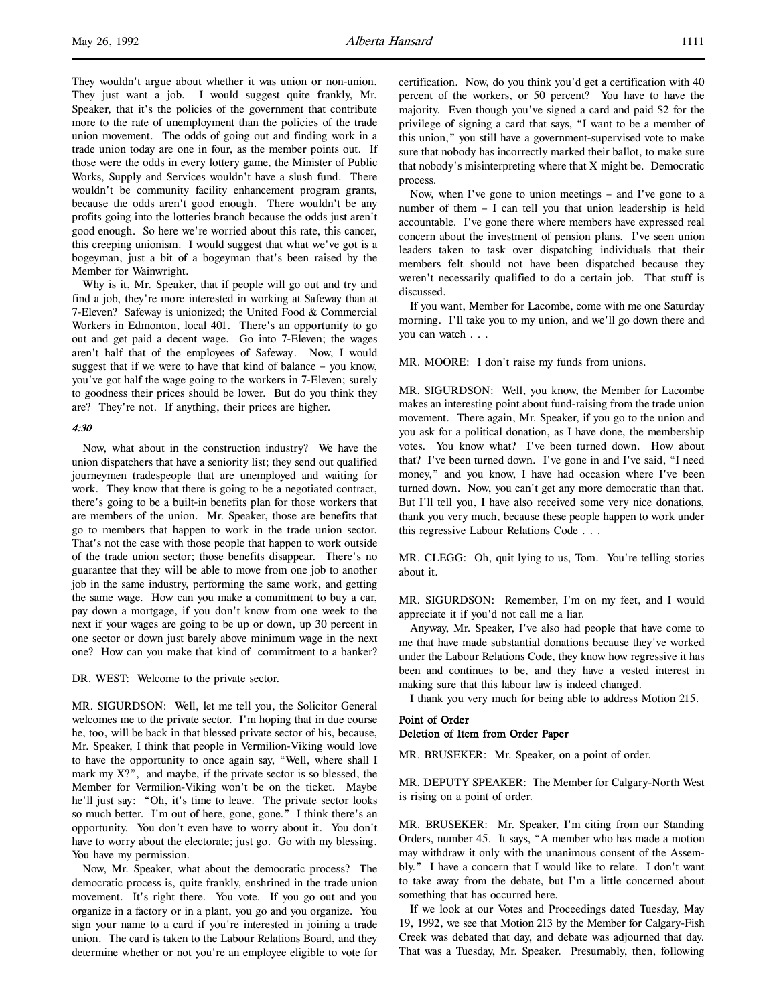They wouldn't argue about whether it was union or non-union. They just want a job. I would suggest quite frankly, Mr. Speaker, that it's the policies of the government that contribute more to the rate of unemployment than the policies of the trade union movement. The odds of going out and finding work in a trade union today are one in four, as the member points out. If those were the odds in every lottery game, the Minister of Public Works, Supply and Services wouldn't have a slush fund. There wouldn't be community facility enhancement program grants, because the odds aren't good enough. There wouldn't be any profits going into the lotteries branch because the odds just aren't good enough. So here we're worried about this rate, this cancer, this creeping unionism. I would suggest that what we've got is a bogeyman, just a bit of a bogeyman that's been raised by the Member for Wainwright.

Why is it, Mr. Speaker, that if people will go out and try and find a job, they're more interested in working at Safeway than at 7-Eleven? Safeway is unionized; the United Food & Commercial Workers in Edmonton, local 401. There's an opportunity to go out and get paid a decent wage. Go into 7-Eleven; the wages aren't half that of the employees of Safeway. Now, I would suggest that if we were to have that kind of balance – you know, you've got half the wage going to the workers in 7-Eleven; surely to goodness their prices should be lower. But do you think they are? They're not. If anything, their prices are higher.

#### 4:30

Now, what about in the construction industry? We have the union dispatchers that have a seniority list; they send out qualified journeymen tradespeople that are unemployed and waiting for work. They know that there is going to be a negotiated contract, there's going to be a built-in benefits plan for those workers that are members of the union. Mr. Speaker, those are benefits that go to members that happen to work in the trade union sector. That's not the case with those people that happen to work outside of the trade union sector; those benefits disappear. There's no guarantee that they will be able to move from one job to another job in the same industry, performing the same work, and getting the same wage. How can you make a commitment to buy a car, pay down a mortgage, if you don't know from one week to the next if your wages are going to be up or down, up 30 percent in one sector or down just barely above minimum wage in the next one? How can you make that kind of commitment to a banker?

DR. WEST: Welcome to the private sector.

MR. SIGURDSON: Well, let me tell you, the Solicitor General welcomes me to the private sector. I'm hoping that in due course he, too, will be back in that blessed private sector of his, because, Mr. Speaker, I think that people in Vermilion-Viking would love to have the opportunity to once again say, "Well, where shall I mark my X?", and maybe, if the private sector is so blessed, the Member for Vermilion-Viking won't be on the ticket. Maybe he'll just say: "Oh, it's time to leave. The private sector looks so much better. I'm out of here, gone, gone." I think there's an opportunity. You don't even have to worry about it. You don't have to worry about the electorate; just go. Go with my blessing. You have my permission.

Now, Mr. Speaker, what about the democratic process? The democratic process is, quite frankly, enshrined in the trade union movement. It's right there. You vote. If you go out and you organize in a factory or in a plant, you go and you organize. You sign your name to a card if you're interested in joining a trade union. The card is taken to the Labour Relations Board, and they determine whether or not you're an employee eligible to vote for

certification. Now, do you think you'd get a certification with 40 percent of the workers, or 50 percent? You have to have the majority. Even though you've signed a card and paid \$2 for the privilege of signing a card that says, "I want to be a member of this union," you still have a government-supervised vote to make sure that nobody has incorrectly marked their ballot, to make sure that nobody's misinterpreting where that X might be. Democratic process.

Now, when I've gone to union meetings – and I've gone to a number of them – I can tell you that union leadership is held accountable. I've gone there where members have expressed real concern about the investment of pension plans. I've seen union leaders taken to task over dispatching individuals that their members felt should not have been dispatched because they weren't necessarily qualified to do a certain job. That stuff is discussed.

If you want, Member for Lacombe, come with me one Saturday morning. I'll take you to my union, and we'll go down there and you can watch . . .

MR. MOORE: I don't raise my funds from unions.

MR. SIGURDSON: Well, you know, the Member for Lacombe makes an interesting point about fund-raising from the trade union movement. There again, Mr. Speaker, if you go to the union and you ask for a political donation, as I have done, the membership votes. You know what? I've been turned down. How about that? I've been turned down. I've gone in and I've said, "I need money," and you know, I have had occasion where I've been turned down. Now, you can't get any more democratic than that. But I'll tell you, I have also received some very nice donations, thank you very much, because these people happen to work under this regressive Labour Relations Code . . .

MR. CLEGG: Oh, quit lying to us, Tom. You're telling stories about it.

MR. SIGURDSON: Remember, I'm on my feet, and I would appreciate it if you'd not call me a liar.

Anyway, Mr. Speaker, I've also had people that have come to me that have made substantial donations because they've worked under the Labour Relations Code, they know how regressive it has been and continues to be, and they have a vested interest in making sure that this labour law is indeed changed.

I thank you very much for being able to address Motion 215.

# Point of Order Deletion of Item from Order Paper

MR. BRUSEKER: Mr. Speaker, on a point of order.

MR. DEPUTY SPEAKER: The Member for Calgary-North West is rising on a point of order.

MR. BRUSEKER: Mr. Speaker, I'm citing from our Standing Orders, number 45. It says, "A member who has made a motion may withdraw it only with the unanimous consent of the Assembly." I have a concern that I would like to relate. I don't want to take away from the debate, but I'm a little concerned about something that has occurred here.

If we look at our Votes and Proceedings dated Tuesday, May 19, 1992, we see that Motion 213 by the Member for Calgary-Fish Creek was debated that day, and debate was adjourned that day. That was a Tuesday, Mr. Speaker. Presumably, then, following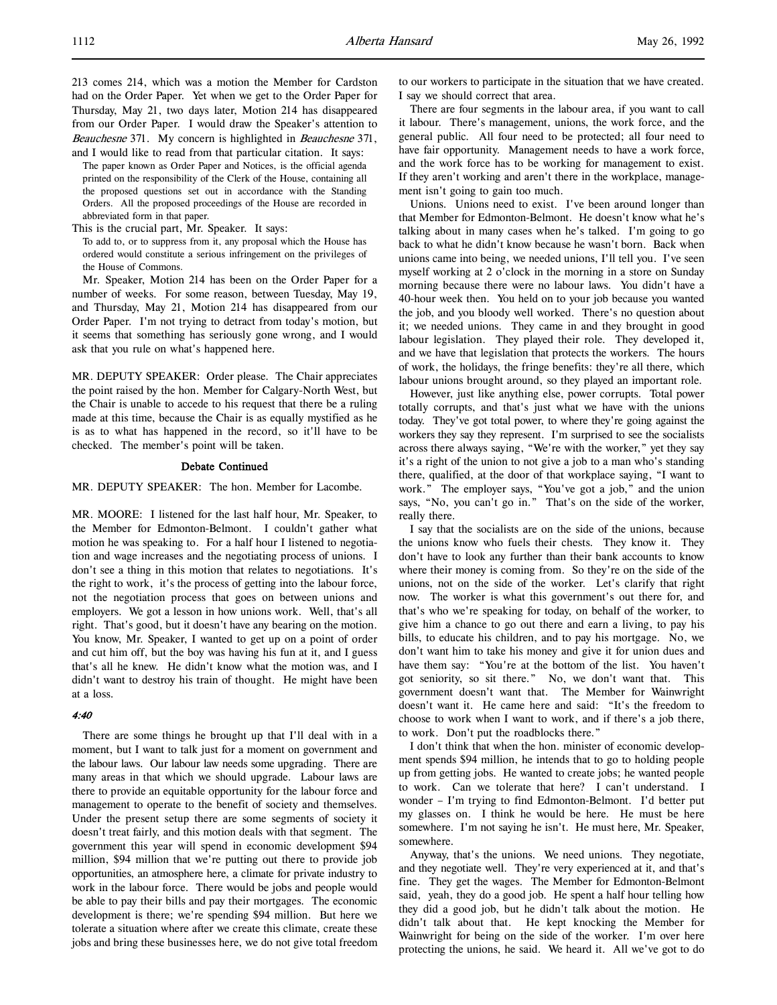213 comes 214, which was a motion the Member for Cardston had on the Order Paper. Yet when we get to the Order Paper for Thursday, May 21, two days later, Motion 214 has disappeared from our Order Paper. I would draw the Speaker's attention to Beauchesne 371. My concern is highlighted in Beauchesne 371, and I would like to read from that particular citation. It says:

The paper known as Order Paper and Notices, is the official agenda printed on the responsibility of the Clerk of the House, containing all the proposed questions set out in accordance with the Standing Orders. All the proposed proceedings of the House are recorded in abbreviated form in that paper.

This is the crucial part, Mr. Speaker. It says:

To add to, or to suppress from it, any proposal which the House has ordered would constitute a serious infringement on the privileges of the House of Commons.

Mr. Speaker, Motion 214 has been on the Order Paper for a number of weeks. For some reason, between Tuesday, May 19, and Thursday, May 21, Motion 214 has disappeared from our Order Paper. I'm not trying to detract from today's motion, but it seems that something has seriously gone wrong, and I would ask that you rule on what's happened here.

MR. DEPUTY SPEAKER: Order please. The Chair appreciates the point raised by the hon. Member for Calgary-North West, but the Chair is unable to accede to his request that there be a ruling made at this time, because the Chair is as equally mystified as he is as to what has happened in the record, so it'll have to be checked. The member's point will be taken.

# Debate Continued

MR. DEPUTY SPEAKER: The hon. Member for Lacombe.

MR. MOORE: I listened for the last half hour, Mr. Speaker, to the Member for Edmonton-Belmont. I couldn't gather what motion he was speaking to. For a half hour I listened to negotiation and wage increases and the negotiating process of unions. I don't see a thing in this motion that relates to negotiations. It's the right to work, it's the process of getting into the labour force, not the negotiation process that goes on between unions and employers. We got a lesson in how unions work. Well, that's all right. That's good, but it doesn't have any bearing on the motion. You know, Mr. Speaker, I wanted to get up on a point of order and cut him off, but the boy was having his fun at it, and I guess that's all he knew. He didn't know what the motion was, and I didn't want to destroy his train of thought. He might have been at a loss.

### 4:40

There are some things he brought up that I'll deal with in a moment, but I want to talk just for a moment on government and the labour laws. Our labour law needs some upgrading. There are many areas in that which we should upgrade. Labour laws are there to provide an equitable opportunity for the labour force and management to operate to the benefit of society and themselves. Under the present setup there are some segments of society it doesn't treat fairly, and this motion deals with that segment. The government this year will spend in economic development \$94 million, \$94 million that we're putting out there to provide job opportunities, an atmosphere here, a climate for private industry to work in the labour force. There would be jobs and people would be able to pay their bills and pay their mortgages. The economic development is there; we're spending \$94 million. But here we tolerate a situation where after we create this climate, create these jobs and bring these businesses here, we do not give total freedom to our workers to participate in the situation that we have created. I say we should correct that area.

There are four segments in the labour area, if you want to call it labour. There's management, unions, the work force, and the general public. All four need to be protected; all four need to have fair opportunity. Management needs to have a work force, and the work force has to be working for management to exist. If they aren't working and aren't there in the workplace, management isn't going to gain too much.

Unions. Unions need to exist. I've been around longer than that Member for Edmonton-Belmont. He doesn't know what he's talking about in many cases when he's talked. I'm going to go back to what he didn't know because he wasn't born. Back when unions came into being, we needed unions, I'll tell you. I've seen myself working at 2 o'clock in the morning in a store on Sunday morning because there were no labour laws. You didn't have a 40-hour week then. You held on to your job because you wanted the job, and you bloody well worked. There's no question about it; we needed unions. They came in and they brought in good labour legislation. They played their role. They developed it, and we have that legislation that protects the workers. The hours of work, the holidays, the fringe benefits: they're all there, which labour unions brought around, so they played an important role.

However, just like anything else, power corrupts. Total power totally corrupts, and that's just what we have with the unions today. They've got total power, to where they're going against the workers they say they represent. I'm surprised to see the socialists across there always saying, "We're with the worker," yet they say it's a right of the union to not give a job to a man who's standing there, qualified, at the door of that workplace saying, "I want to work." The employer says, "You've got a job," and the union says, "No, you can't go in." That's on the side of the worker, really there.

I say that the socialists are on the side of the unions, because the unions know who fuels their chests. They know it. They don't have to look any further than their bank accounts to know where their money is coming from. So they're on the side of the unions, not on the side of the worker. Let's clarify that right now. The worker is what this government's out there for, and that's who we're speaking for today, on behalf of the worker, to give him a chance to go out there and earn a living, to pay his bills, to educate his children, and to pay his mortgage. No, we don't want him to take his money and give it for union dues and have them say: "You're at the bottom of the list. You haven't got seniority, so sit there." No, we don't want that. This government doesn't want that. The Member for Wainwright doesn't want it. He came here and said: "It's the freedom to choose to work when I want to work, and if there's a job there, to work. Don't put the roadblocks there."

I don't think that when the hon. minister of economic development spends \$94 million, he intends that to go to holding people up from getting jobs. He wanted to create jobs; he wanted people to work. Can we tolerate that here? I can't understand. I wonder – I'm trying to find Edmonton-Belmont. I'd better put my glasses on. I think he would be here. He must be here somewhere. I'm not saying he isn't. He must here, Mr. Speaker, somewhere.

Anyway, that's the unions. We need unions. They negotiate, and they negotiate well. They're very experienced at it, and that's fine. They get the wages. The Member for Edmonton-Belmont said, yeah, they do a good job. He spent a half hour telling how they did a good job, but he didn't talk about the motion. He didn't talk about that. He kept knocking the Member for Wainwright for being on the side of the worker. I'm over here protecting the unions, he said. We heard it. All we've got to do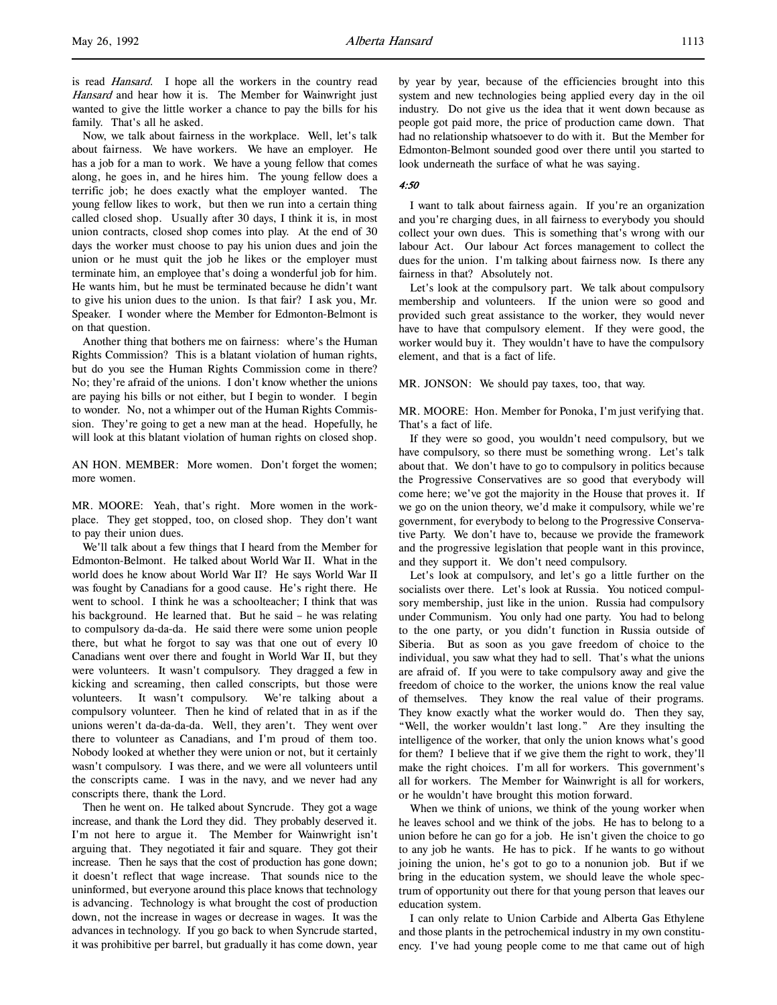is read Hansard. I hope all the workers in the country read Hansard and hear how it is. The Member for Wainwright just wanted to give the little worker a chance to pay the bills for his family. That's all he asked.

Now, we talk about fairness in the workplace. Well, let's talk about fairness. We have workers. We have an employer. He has a job for a man to work. We have a young fellow that comes along, he goes in, and he hires him. The young fellow does a terrific job; he does exactly what the employer wanted. The young fellow likes to work, but then we run into a certain thing called closed shop. Usually after 30 days, I think it is, in most union contracts, closed shop comes into play. At the end of 30 days the worker must choose to pay his union dues and join the union or he must quit the job he likes or the employer must terminate him, an employee that's doing a wonderful job for him. He wants him, but he must be terminated because he didn't want to give his union dues to the union. Is that fair? I ask you, Mr. Speaker. I wonder where the Member for Edmonton-Belmont is on that question.

Another thing that bothers me on fairness: where's the Human Rights Commission? This is a blatant violation of human rights, but do you see the Human Rights Commission come in there? No; they're afraid of the unions. I don't know whether the unions are paying his bills or not either, but I begin to wonder. I begin to wonder. No, not a whimper out of the Human Rights Commission. They're going to get a new man at the head. Hopefully, he will look at this blatant violation of human rights on closed shop.

AN HON. MEMBER: More women. Don't forget the women; more women.

MR. MOORE: Yeah, that's right. More women in the workplace. They get stopped, too, on closed shop. They don't want to pay their union dues.

We'll talk about a few things that I heard from the Member for Edmonton-Belmont. He talked about World War II. What in the world does he know about World War II? He says World War II was fought by Canadians for a good cause. He's right there. He went to school. I think he was a schoolteacher; I think that was his background. He learned that. But he said – he was relating to compulsory da-da-da. He said there were some union people there, but what he forgot to say was that one out of every 10 Canadians went over there and fought in World War II, but they were volunteers. It wasn't compulsory. They dragged a few in kicking and screaming, then called conscripts, but those were volunteers. It wasn't compulsory. We're talking about a compulsory volunteer. Then he kind of related that in as if the unions weren't da-da-da-da. Well, they aren't. They went over there to volunteer as Canadians, and I'm proud of them too. Nobody looked at whether they were union or not, but it certainly wasn't compulsory. I was there, and we were all volunteers until the conscripts came. I was in the navy, and we never had any conscripts there, thank the Lord.

Then he went on. He talked about Syncrude. They got a wage increase, and thank the Lord they did. They probably deserved it. I'm not here to argue it. The Member for Wainwright isn't arguing that. They negotiated it fair and square. They got their increase. Then he says that the cost of production has gone down; it doesn't reflect that wage increase. That sounds nice to the uninformed, but everyone around this place knows that technology is advancing. Technology is what brought the cost of production down, not the increase in wages or decrease in wages. It was the advances in technology. If you go back to when Syncrude started, it was prohibitive per barrel, but gradually it has come down, year by year by year, because of the efficiencies brought into this system and new technologies being applied every day in the oil industry. Do not give us the idea that it went down because as people got paid more, the price of production came down. That had no relationship whatsoever to do with it. But the Member for Edmonton-Belmont sounded good over there until you started to look underneath the surface of what he was saying.

#### 4:50

I want to talk about fairness again. If you're an organization and you're charging dues, in all fairness to everybody you should collect your own dues. This is something that's wrong with our labour Act. Our labour Act forces management to collect the dues for the union. I'm talking about fairness now. Is there any fairness in that? Absolutely not.

Let's look at the compulsory part. We talk about compulsory membership and volunteers. If the union were so good and provided such great assistance to the worker, they would never have to have that compulsory element. If they were good, the worker would buy it. They wouldn't have to have the compulsory element, and that is a fact of life.

MR. JONSON: We should pay taxes, too, that way.

MR. MOORE: Hon. Member for Ponoka, I'm just verifying that. That's a fact of life.

If they were so good, you wouldn't need compulsory, but we have compulsory, so there must be something wrong. Let's talk about that. We don't have to go to compulsory in politics because the Progressive Conservatives are so good that everybody will come here; we've got the majority in the House that proves it. If we go on the union theory, we'd make it compulsory, while we're government, for everybody to belong to the Progressive Conservative Party. We don't have to, because we provide the framework and the progressive legislation that people want in this province, and they support it. We don't need compulsory.

Let's look at compulsory, and let's go a little further on the socialists over there. Let's look at Russia. You noticed compulsory membership, just like in the union. Russia had compulsory under Communism. You only had one party. You had to belong to the one party, or you didn't function in Russia outside of Siberia. But as soon as you gave freedom of choice to the individual, you saw what they had to sell. That's what the unions are afraid of. If you were to take compulsory away and give the freedom of choice to the worker, the unions know the real value of themselves. They know the real value of their programs. They know exactly what the worker would do. Then they say, "Well, the worker wouldn't last long." Are they insulting the intelligence of the worker, that only the union knows what's good for them? I believe that if we give them the right to work, they'll make the right choices. I'm all for workers. This government's all for workers. The Member for Wainwright is all for workers, or he wouldn't have brought this motion forward.

When we think of unions, we think of the young worker when he leaves school and we think of the jobs. He has to belong to a union before he can go for a job. He isn't given the choice to go to any job he wants. He has to pick. If he wants to go without joining the union, he's got to go to a nonunion job. But if we bring in the education system, we should leave the whole spectrum of opportunity out there for that young person that leaves our education system.

I can only relate to Union Carbide and Alberta Gas Ethylene and those plants in the petrochemical industry in my own constituency. I've had young people come to me that came out of high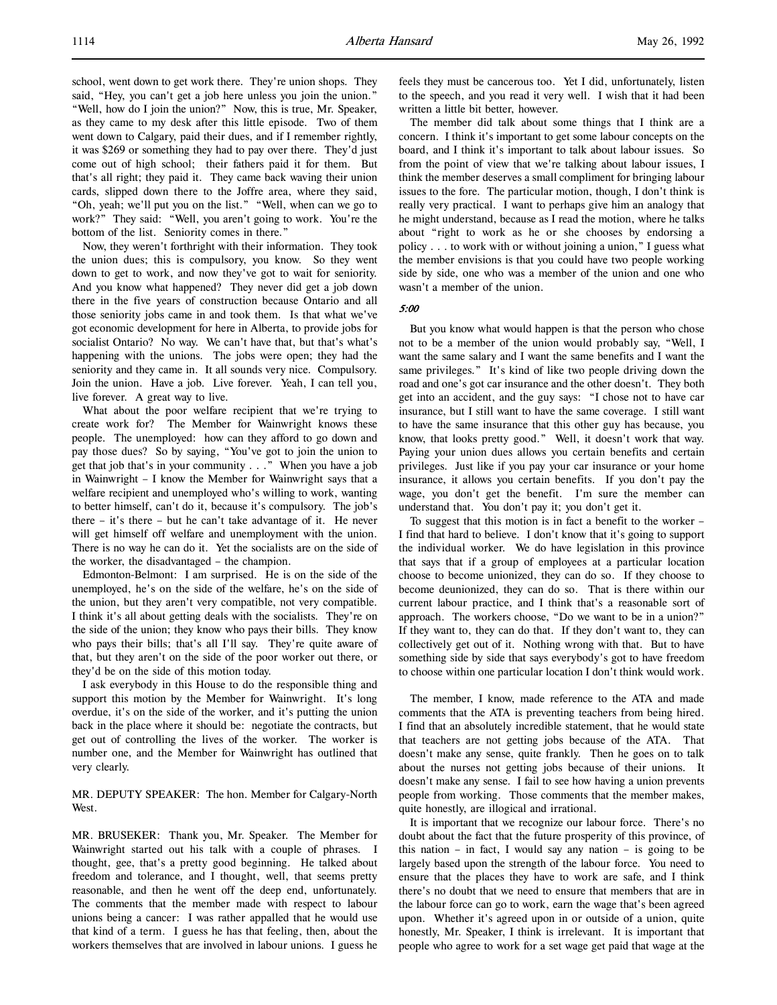school, went down to get work there. They're union shops. They said, "Hey, you can't get a job here unless you join the union." "Well, how do I join the union?" Now, this is true, Mr. Speaker, as they came to my desk after this little episode. Two of them went down to Calgary, paid their dues, and if I remember rightly, it was \$269 or something they had to pay over there. They'd just come out of high school; their fathers paid it for them. But that's all right; they paid it. They came back waving their union cards, slipped down there to the Joffre area, where they said, "Oh, yeah; we'll put you on the list." "Well, when can we go to work?" They said: "Well, you aren't going to work. You're the bottom of the list. Seniority comes in there."

Now, they weren't forthright with their information. They took the union dues; this is compulsory, you know. So they went down to get to work, and now they've got to wait for seniority. And you know what happened? They never did get a job down there in the five years of construction because Ontario and all those seniority jobs came in and took them. Is that what we've got economic development for here in Alberta, to provide jobs for socialist Ontario? No way. We can't have that, but that's what's happening with the unions. The jobs were open; they had the seniority and they came in. It all sounds very nice. Compulsory. Join the union. Have a job. Live forever. Yeah, I can tell you, live forever. A great way to live.

What about the poor welfare recipient that we're trying to create work for? The Member for Wainwright knows these people. The unemployed: how can they afford to go down and pay those dues? So by saying, "You've got to join the union to get that job that's in your community . . ." When you have a job in Wainwright – I know the Member for Wainwright says that a welfare recipient and unemployed who's willing to work, wanting to better himself, can't do it, because it's compulsory. The job's there – it's there – but he can't take advantage of it. He never will get himself off welfare and unemployment with the union. There is no way he can do it. Yet the socialists are on the side of the worker, the disadvantaged – the champion.

Edmonton-Belmont: I am surprised. He is on the side of the unemployed, he's on the side of the welfare, he's on the side of the union, but they aren't very compatible, not very compatible. I think it's all about getting deals with the socialists. They're on the side of the union; they know who pays their bills. They know who pays their bills; that's all I'll say. They're quite aware of that, but they aren't on the side of the poor worker out there, or they'd be on the side of this motion today.

I ask everybody in this House to do the responsible thing and support this motion by the Member for Wainwright. It's long overdue, it's on the side of the worker, and it's putting the union back in the place where it should be: negotiate the contracts, but get out of controlling the lives of the worker. The worker is number one, and the Member for Wainwright has outlined that very clearly.

MR. DEPUTY SPEAKER: The hon. Member for Calgary-North West.

MR. BRUSEKER: Thank you, Mr. Speaker. The Member for Wainwright started out his talk with a couple of phrases. I thought, gee, that's a pretty good beginning. He talked about freedom and tolerance, and I thought, well, that seems pretty reasonable, and then he went off the deep end, unfortunately. The comments that the member made with respect to labour unions being a cancer: I was rather appalled that he would use that kind of a term. I guess he has that feeling, then, about the workers themselves that are involved in labour unions. I guess he

feels they must be cancerous too. Yet I did, unfortunately, listen to the speech, and you read it very well. I wish that it had been written a little bit better, however.

The member did talk about some things that I think are a concern. I think it's important to get some labour concepts on the board, and I think it's important to talk about labour issues. So from the point of view that we're talking about labour issues, I think the member deserves a small compliment for bringing labour issues to the fore. The particular motion, though, I don't think is really very practical. I want to perhaps give him an analogy that he might understand, because as I read the motion, where he talks about "right to work as he or she chooses by endorsing a policy . . . to work with or without joining a union," I guess what the member envisions is that you could have two people working side by side, one who was a member of the union and one who wasn't a member of the union.

## 5:00

But you know what would happen is that the person who chose not to be a member of the union would probably say, "Well, I want the same salary and I want the same benefits and I want the same privileges." It's kind of like two people driving down the road and one's got car insurance and the other doesn't. They both get into an accident, and the guy says: "I chose not to have car insurance, but I still want to have the same coverage. I still want to have the same insurance that this other guy has because, you know, that looks pretty good." Well, it doesn't work that way. Paying your union dues allows you certain benefits and certain privileges. Just like if you pay your car insurance or your home insurance, it allows you certain benefits. If you don't pay the wage, you don't get the benefit. I'm sure the member can understand that. You don't pay it; you don't get it.

To suggest that this motion is in fact a benefit to the worker – I find that hard to believe. I don't know that it's going to support the individual worker. We do have legislation in this province that says that if a group of employees at a particular location choose to become unionized, they can do so. If they choose to become deunionized, they can do so. That is there within our current labour practice, and I think that's a reasonable sort of approach. The workers choose, "Do we want to be in a union?" If they want to, they can do that. If they don't want to, they can collectively get out of it. Nothing wrong with that. But to have something side by side that says everybody's got to have freedom to choose within one particular location I don't think would work.

The member, I know, made reference to the ATA and made comments that the ATA is preventing teachers from being hired. I find that an absolutely incredible statement, that he would state that teachers are not getting jobs because of the ATA. That doesn't make any sense, quite frankly. Then he goes on to talk about the nurses not getting jobs because of their unions. It doesn't make any sense. I fail to see how having a union prevents people from working. Those comments that the member makes, quite honestly, are illogical and irrational.

It is important that we recognize our labour force. There's no doubt about the fact that the future prosperity of this province, of this nation – in fact, I would say any nation – is going to be largely based upon the strength of the labour force. You need to ensure that the places they have to work are safe, and I think there's no doubt that we need to ensure that members that are in the labour force can go to work, earn the wage that's been agreed upon. Whether it's agreed upon in or outside of a union, quite honestly, Mr. Speaker, I think is irrelevant. It is important that people who agree to work for a set wage get paid that wage at the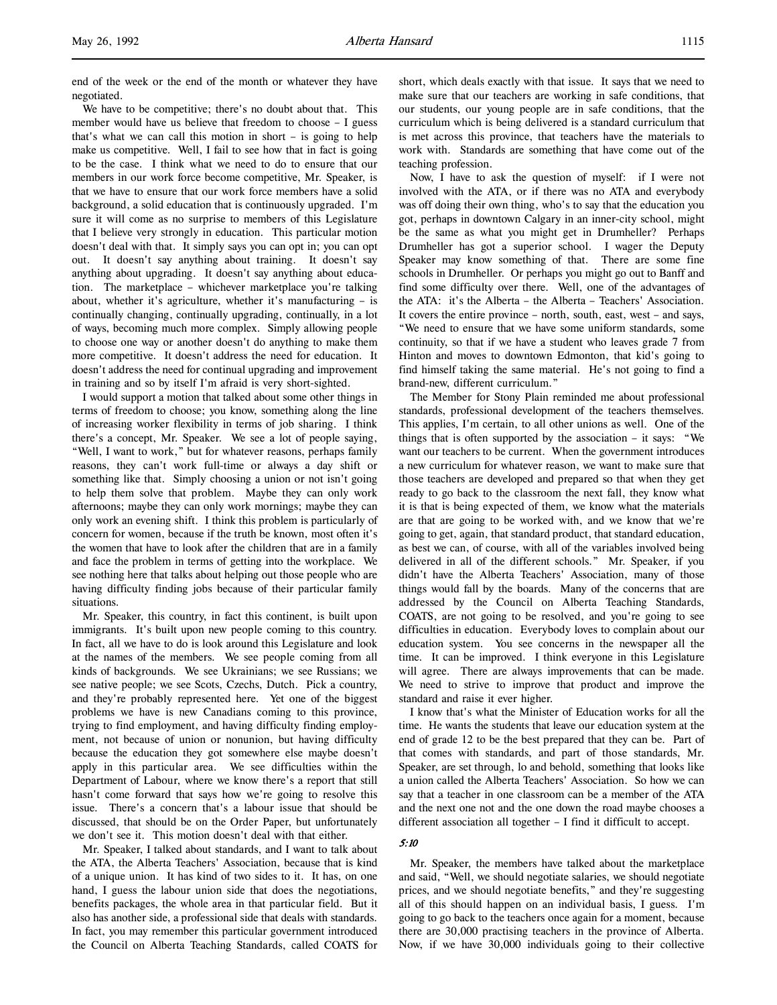end of the week or the end of the month or whatever they have negotiated.

We have to be competitive; there's no doubt about that. This member would have us believe that freedom to choose – I guess that's what we can call this motion in short – is going to help make us competitive. Well, I fail to see how that in fact is going to be the case. I think what we need to do to ensure that our members in our work force become competitive, Mr. Speaker, is that we have to ensure that our work force members have a solid background, a solid education that is continuously upgraded. I'm sure it will come as no surprise to members of this Legislature that I believe very strongly in education. This particular motion doesn't deal with that. It simply says you can opt in; you can opt out. It doesn't say anything about training. It doesn't say anything about upgrading. It doesn't say anything about education. The marketplace – whichever marketplace you're talking about, whether it's agriculture, whether it's manufacturing – is continually changing, continually upgrading, continually, in a lot of ways, becoming much more complex. Simply allowing people to choose one way or another doesn't do anything to make them more competitive. It doesn't address the need for education. It doesn't address the need for continual upgrading and improvement in training and so by itself I'm afraid is very short-sighted.

I would support a motion that talked about some other things in terms of freedom to choose; you know, something along the line of increasing worker flexibility in terms of job sharing. I think there's a concept, Mr. Speaker. We see a lot of people saying, "Well, I want to work," but for whatever reasons, perhaps family reasons, they can't work full-time or always a day shift or something like that. Simply choosing a union or not isn't going to help them solve that problem. Maybe they can only work afternoons; maybe they can only work mornings; maybe they can only work an evening shift. I think this problem is particularly of concern for women, because if the truth be known, most often it's the women that have to look after the children that are in a family and face the problem in terms of getting into the workplace. We see nothing here that talks about helping out those people who are having difficulty finding jobs because of their particular family situations.

Mr. Speaker, this country, in fact this continent, is built upon immigrants. It's built upon new people coming to this country. In fact, all we have to do is look around this Legislature and look at the names of the members. We see people coming from all kinds of backgrounds. We see Ukrainians; we see Russians; we see native people; we see Scots, Czechs, Dutch. Pick a country, and they're probably represented here. Yet one of the biggest problems we have is new Canadians coming to this province, trying to find employment, and having difficulty finding employment, not because of union or nonunion, but having difficulty because the education they got somewhere else maybe doesn't apply in this particular area. We see difficulties within the Department of Labour, where we know there's a report that still hasn't come forward that says how we're going to resolve this issue. There's a concern that's a labour issue that should be discussed, that should be on the Order Paper, but unfortunately we don't see it. This motion doesn't deal with that either.

Mr. Speaker, I talked about standards, and I want to talk about the ATA, the Alberta Teachers' Association, because that is kind of a unique union. It has kind of two sides to it. It has, on one hand, I guess the labour union side that does the negotiations, benefits packages, the whole area in that particular field. But it also has another side, a professional side that deals with standards. In fact, you may remember this particular government introduced the Council on Alberta Teaching Standards, called COATS for

short, which deals exactly with that issue. It says that we need to make sure that our teachers are working in safe conditions, that our students, our young people are in safe conditions, that the curriculum which is being delivered is a standard curriculum that is met across this province, that teachers have the materials to work with. Standards are something that have come out of the teaching profession.

Now, I have to ask the question of myself: if I were not involved with the ATA, or if there was no ATA and everybody was off doing their own thing, who's to say that the education you got, perhaps in downtown Calgary in an inner-city school, might be the same as what you might get in Drumheller? Perhaps Drumheller has got a superior school. I wager the Deputy Speaker may know something of that. There are some fine schools in Drumheller. Or perhaps you might go out to Banff and find some difficulty over there. Well, one of the advantages of the ATA: it's the Alberta – the Alberta – Teachers' Association. It covers the entire province – north, south, east, west – and says, "We need to ensure that we have some uniform standards, some continuity, so that if we have a student who leaves grade 7 from Hinton and moves to downtown Edmonton, that kid's going to find himself taking the same material. He's not going to find a brand-new, different curriculum."

The Member for Stony Plain reminded me about professional standards, professional development of the teachers themselves. This applies, I'm certain, to all other unions as well. One of the things that is often supported by the association – it says: "We want our teachers to be current. When the government introduces a new curriculum for whatever reason, we want to make sure that those teachers are developed and prepared so that when they get ready to go back to the classroom the next fall, they know what it is that is being expected of them, we know what the materials are that are going to be worked with, and we know that we're going to get, again, that standard product, that standard education, as best we can, of course, with all of the variables involved being delivered in all of the different schools." Mr. Speaker, if you didn't have the Alberta Teachers' Association, many of those things would fall by the boards. Many of the concerns that are addressed by the Council on Alberta Teaching Standards, COATS, are not going to be resolved, and you're going to see difficulties in education. Everybody loves to complain about our education system. You see concerns in the newspaper all the time. It can be improved. I think everyone in this Legislature will agree. There are always improvements that can be made. We need to strive to improve that product and improve the standard and raise it ever higher.

I know that's what the Minister of Education works for all the time. He wants the students that leave our education system at the end of grade 12 to be the best prepared that they can be. Part of that comes with standards, and part of those standards, Mr. Speaker, are set through, lo and behold, something that looks like a union called the Alberta Teachers' Association. So how we can say that a teacher in one classroom can be a member of the ATA and the next one not and the one down the road maybe chooses a different association all together – I find it difficult to accept.

## 5:10

Mr. Speaker, the members have talked about the marketplace and said, "Well, we should negotiate salaries, we should negotiate prices, and we should negotiate benefits," and they're suggesting all of this should happen on an individual basis, I guess. I'm going to go back to the teachers once again for a moment, because there are 30,000 practising teachers in the province of Alberta. Now, if we have 30,000 individuals going to their collective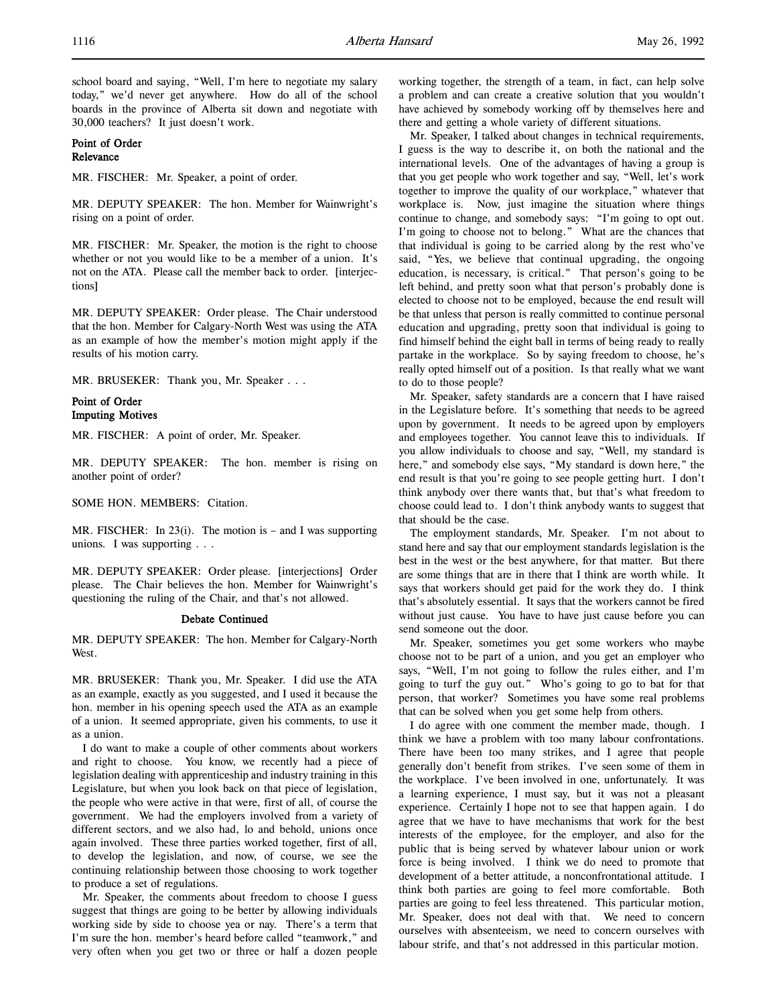school board and saying, "Well, I'm here to negotiate my salary today," we'd never get anywhere. How do all of the school boards in the province of Alberta sit down and negotiate with 30,000 teachers? It just doesn't work.

# Point of Order Relevance

MR. FISCHER: Mr. Speaker, a point of order.

MR. DEPUTY SPEAKER: The hon. Member for Wainwright's rising on a point of order.

MR. FISCHER: Mr. Speaker, the motion is the right to choose whether or not you would like to be a member of a union. It's not on the ATA. Please call the member back to order. [interjections]

MR. DEPUTY SPEAKER: Order please. The Chair understood that the hon. Member for Calgary-North West was using the ATA as an example of how the member's motion might apply if the results of his motion carry.

MR. BRUSEKER: Thank you, Mr. Speaker . . .

Point of Order Imputing Motives

MR. FISCHER: A point of order, Mr. Speaker.

MR. DEPUTY SPEAKER: The hon. member is rising on another point of order?

SOME HON. MEMBERS: Citation.

MR. FISCHER: In  $23(i)$ . The motion is – and I was supporting unions. I was supporting . . .

MR. DEPUTY SPEAKER: Order please. [interjections] Order please. The Chair believes the hon. Member for Wainwright's questioning the ruling of the Chair, and that's not allowed.

# Debate Continued

MR. DEPUTY SPEAKER: The hon. Member for Calgary-North **West** 

MR. BRUSEKER: Thank you, Mr. Speaker. I did use the ATA as an example, exactly as you suggested, and I used it because the hon. member in his opening speech used the ATA as an example of a union. It seemed appropriate, given his comments, to use it as a union.

I do want to make a couple of other comments about workers and right to choose. You know, we recently had a piece of legislation dealing with apprenticeship and industry training in this Legislature, but when you look back on that piece of legislation, the people who were active in that were, first of all, of course the government. We had the employers involved from a variety of different sectors, and we also had, lo and behold, unions once again involved. These three parties worked together, first of all, to develop the legislation, and now, of course, we see the continuing relationship between those choosing to work together to produce a set of regulations.

Mr. Speaker, the comments about freedom to choose I guess suggest that things are going to be better by allowing individuals working side by side to choose yea or nay. There's a term that I'm sure the hon. member's heard before called "teamwork," and very often when you get two or three or half a dozen people

working together, the strength of a team, in fact, can help solve a problem and can create a creative solution that you wouldn't have achieved by somebody working off by themselves here and there and getting a whole variety of different situations.

Mr. Speaker, I talked about changes in technical requirements, I guess is the way to describe it, on both the national and the international levels. One of the advantages of having a group is that you get people who work together and say, "Well, let's work together to improve the quality of our workplace," whatever that workplace is. Now, just imagine the situation where things continue to change, and somebody says: "I'm going to opt out. I'm going to choose not to belong." What are the chances that that individual is going to be carried along by the rest who've said, "Yes, we believe that continual upgrading, the ongoing education, is necessary, is critical." That person's going to be left behind, and pretty soon what that person's probably done is elected to choose not to be employed, because the end result will be that unless that person is really committed to continue personal education and upgrading, pretty soon that individual is going to find himself behind the eight ball in terms of being ready to really partake in the workplace. So by saying freedom to choose, he's really opted himself out of a position. Is that really what we want to do to those people?

Mr. Speaker, safety standards are a concern that I have raised in the Legislature before. It's something that needs to be agreed upon by government. It needs to be agreed upon by employers and employees together. You cannot leave this to individuals. If you allow individuals to choose and say, "Well, my standard is here," and somebody else says, "My standard is down here," the end result is that you're going to see people getting hurt. I don't think anybody over there wants that, but that's what freedom to choose could lead to. I don't think anybody wants to suggest that that should be the case.

The employment standards, Mr. Speaker. I'm not about to stand here and say that our employment standards legislation is the best in the west or the best anywhere, for that matter. But there are some things that are in there that I think are worth while. It says that workers should get paid for the work they do. I think that's absolutely essential. It says that the workers cannot be fired without just cause. You have to have just cause before you can send someone out the door.

Mr. Speaker, sometimes you get some workers who maybe choose not to be part of a union, and you get an employer who says, "Well, I'm not going to follow the rules either, and I'm going to turf the guy out." Who's going to go to bat for that person, that worker? Sometimes you have some real problems that can be solved when you get some help from others.

I do agree with one comment the member made, though. I think we have a problem with too many labour confrontations. There have been too many strikes, and I agree that people generally don't benefit from strikes. I've seen some of them in the workplace. I've been involved in one, unfortunately. It was a learning experience, I must say, but it was not a pleasant experience. Certainly I hope not to see that happen again. I do agree that we have to have mechanisms that work for the best interests of the employee, for the employer, and also for the public that is being served by whatever labour union or work force is being involved. I think we do need to promote that development of a better attitude, a nonconfrontational attitude. I think both parties are going to feel more comfortable. Both parties are going to feel less threatened. This particular motion, Mr. Speaker, does not deal with that. We need to concern ourselves with absenteeism, we need to concern ourselves with labour strife, and that's not addressed in this particular motion.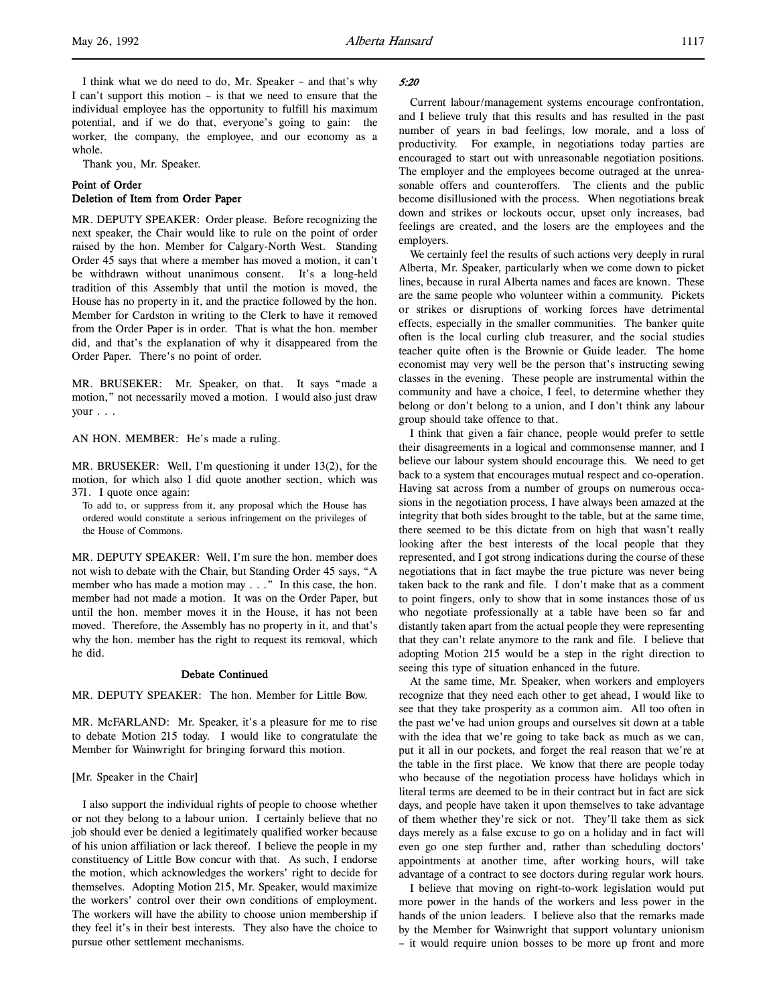whole. Thank you, Mr. Speaker.

# Point of Order Deletion of Item from Order Paper

MR. DEPUTY SPEAKER: Order please. Before recognizing the next speaker, the Chair would like to rule on the point of order raised by the hon. Member for Calgary-North West. Standing Order 45 says that where a member has moved a motion, it can't be withdrawn without unanimous consent. It's a long-held tradition of this Assembly that until the motion is moved, the House has no property in it, and the practice followed by the hon. Member for Cardston in writing to the Clerk to have it removed from the Order Paper is in order. That is what the hon. member did, and that's the explanation of why it disappeared from the Order Paper. There's no point of order.

worker, the company, the employee, and our economy as a

MR. BRUSEKER: Mr. Speaker, on that. It says "made a motion," not necessarily moved a motion. I would also just draw your . . .

AN HON. MEMBER: He's made a ruling.

MR. BRUSEKER: Well, I'm questioning it under 13(2), for the motion, for which also I did quote another section, which was 371. I quote once again:

To add to, or suppress from it, any proposal which the House has ordered would constitute a serious infringement on the privileges of the House of Commons.

MR. DEPUTY SPEAKER: Well, I'm sure the hon. member does not wish to debate with the Chair, but Standing Order 45 says, "A member who has made a motion may . . ." In this case, the hon. member had not made a motion. It was on the Order Paper, but until the hon. member moves it in the House, it has not been moved. Therefore, the Assembly has no property in it, and that's why the hon. member has the right to request its removal, which he did.

# Debate Continued

MR. DEPUTY SPEAKER: The hon. Member for Little Bow.

MR. McFARLAND: Mr. Speaker, it's a pleasure for me to rise to debate Motion 215 today. I would like to congratulate the Member for Wainwright for bringing forward this motion.

# [Mr. Speaker in the Chair]

I also support the individual rights of people to choose whether or not they belong to a labour union. I certainly believe that no job should ever be denied a legitimately qualified worker because of his union affiliation or lack thereof. I believe the people in my constituency of Little Bow concur with that. As such, I endorse the motion, which acknowledges the workers' right to decide for themselves. Adopting Motion 215, Mr. Speaker, would maximize the workers' control over their own conditions of employment. The workers will have the ability to choose union membership if they feel it's in their best interests. They also have the choice to pursue other settlement mechanisms.

# 5:20

Current labour/management systems encourage confrontation, and I believe truly that this results and has resulted in the past number of years in bad feelings, low morale, and a loss of productivity. For example, in negotiations today parties are encouraged to start out with unreasonable negotiation positions. The employer and the employees become outraged at the unreasonable offers and counteroffers. The clients and the public become disillusioned with the process. When negotiations break down and strikes or lockouts occur, upset only increases, bad feelings are created, and the losers are the employees and the employers.

We certainly feel the results of such actions very deeply in rural Alberta, Mr. Speaker, particularly when we come down to picket lines, because in rural Alberta names and faces are known. These are the same people who volunteer within a community. Pickets or strikes or disruptions of working forces have detrimental effects, especially in the smaller communities. The banker quite often is the local curling club treasurer, and the social studies teacher quite often is the Brownie or Guide leader. The home economist may very well be the person that's instructing sewing classes in the evening. These people are instrumental within the community and have a choice, I feel, to determine whether they belong or don't belong to a union, and I don't think any labour group should take offence to that.

I think that given a fair chance, people would prefer to settle their disagreements in a logical and commonsense manner, and I believe our labour system should encourage this. We need to get back to a system that encourages mutual respect and co-operation. Having sat across from a number of groups on numerous occasions in the negotiation process, I have always been amazed at the integrity that both sides brought to the table, but at the same time, there seemed to be this dictate from on high that wasn't really looking after the best interests of the local people that they represented, and I got strong indications during the course of these negotiations that in fact maybe the true picture was never being taken back to the rank and file. I don't make that as a comment to point fingers, only to show that in some instances those of us who negotiate professionally at a table have been so far and distantly taken apart from the actual people they were representing that they can't relate anymore to the rank and file. I believe that adopting Motion 215 would be a step in the right direction to seeing this type of situation enhanced in the future.

At the same time, Mr. Speaker, when workers and employers recognize that they need each other to get ahead, I would like to see that they take prosperity as a common aim. All too often in the past we've had union groups and ourselves sit down at a table with the idea that we're going to take back as much as we can, put it all in our pockets, and forget the real reason that we're at the table in the first place. We know that there are people today who because of the negotiation process have holidays which in literal terms are deemed to be in their contract but in fact are sick days, and people have taken it upon themselves to take advantage of them whether they're sick or not. They'll take them as sick days merely as a false excuse to go on a holiday and in fact will even go one step further and, rather than scheduling doctors' appointments at another time, after working hours, will take advantage of a contract to see doctors during regular work hours.

I believe that moving on right-to-work legislation would put more power in the hands of the workers and less power in the hands of the union leaders. I believe also that the remarks made by the Member for Wainwright that support voluntary unionism – it would require union bosses to be more up front and more